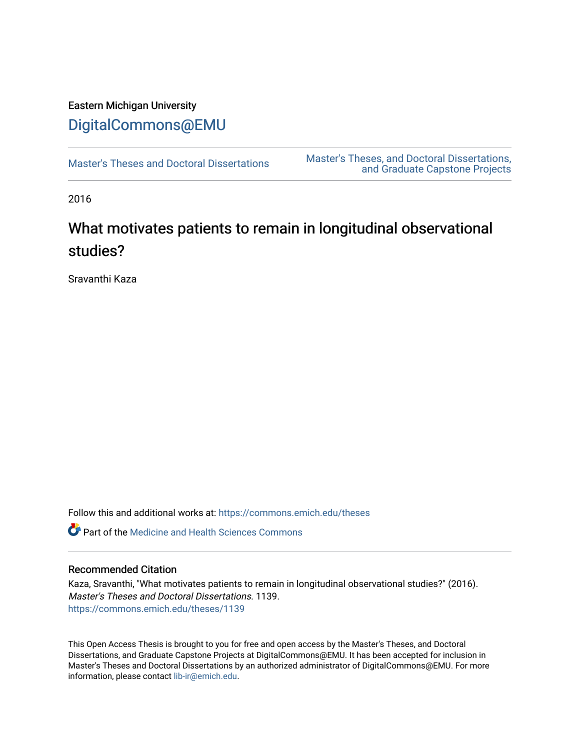# Eastern Michigan University [DigitalCommons@EMU](https://commons.emich.edu/)

[Master's Theses and Doctoral Dissertations](https://commons.emich.edu/theses) Master's Theses, and Doctoral Dissertations, [and Graduate Capstone Projects](https://commons.emich.edu/etd) 

2016

# What motivates patients to remain in longitudinal observational studies?

Sravanthi Kaza

Follow this and additional works at: [https://commons.emich.edu/theses](https://commons.emich.edu/theses?utm_source=commons.emich.edu%2Ftheses%2F1139&utm_medium=PDF&utm_campaign=PDFCoverPages) 

**C** Part of the Medicine and Health Sciences Commons

### Recommended Citation

Kaza, Sravanthi, "What motivates patients to remain in longitudinal observational studies?" (2016). Master's Theses and Doctoral Dissertations. 1139. [https://commons.emich.edu/theses/1139](https://commons.emich.edu/theses/1139?utm_source=commons.emich.edu%2Ftheses%2F1139&utm_medium=PDF&utm_campaign=PDFCoverPages) 

This Open Access Thesis is brought to you for free and open access by the Master's Theses, and Doctoral Dissertations, and Graduate Capstone Projects at DigitalCommons@EMU. It has been accepted for inclusion in Master's Theses and Doctoral Dissertations by an authorized administrator of DigitalCommons@EMU. For more information, please contact [lib-ir@emich.edu](mailto:lib-ir@emich.edu).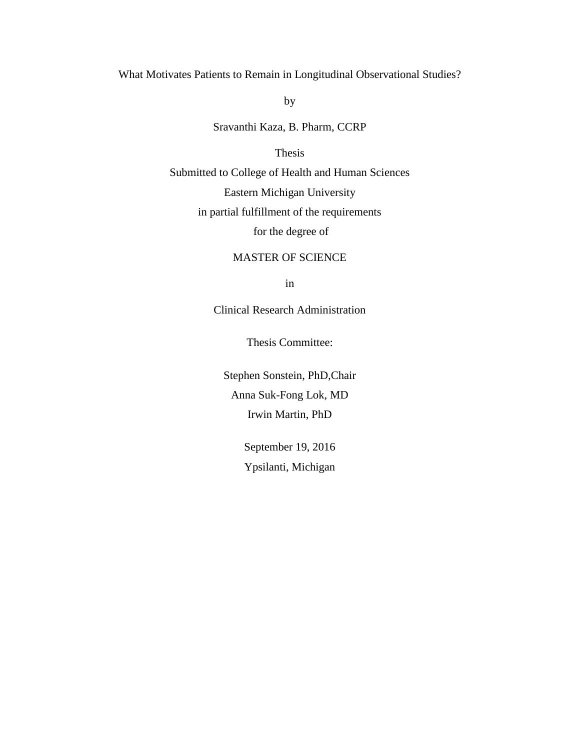### What Motivates Patients to Remain in Longitudinal Observational Studies?

by

Sravanthi Kaza, B. Pharm, CCRP

### Thesis

Submitted to College of Health and Human Sciences

Eastern Michigan University

in partial fulfillment of the requirements

for the degree of

### MASTER OF SCIENCE

in

Clinical Research Administration

Thesis Committee:

Stephen Sonstein, PhD,Chair Anna Suk-Fong Lok, MD Irwin Martin, PhD

> September 19, 2016 Ypsilanti, Michigan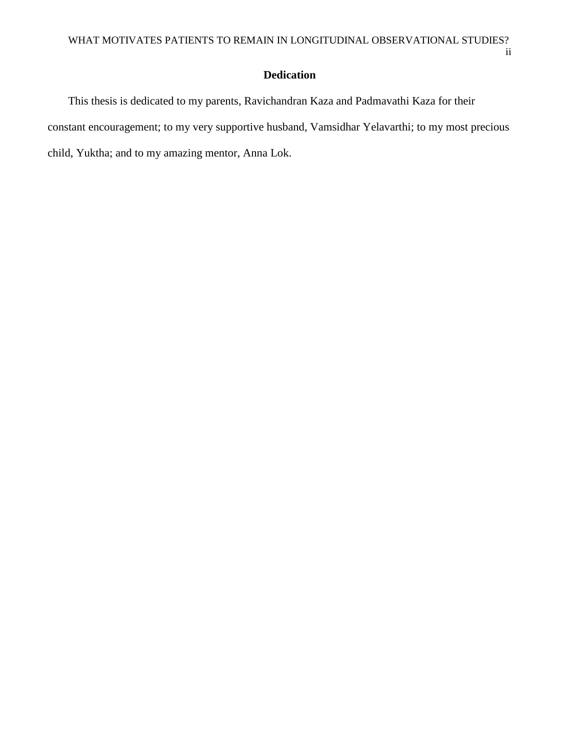ii

# **Dedication**

This thesis is dedicated to my parents, Ravichandran Kaza and Padmavathi Kaza for their constant encouragement; to my very supportive husband, Vamsidhar Yelavarthi; to my most precious child, Yuktha; and to my amazing mentor, Anna Lok.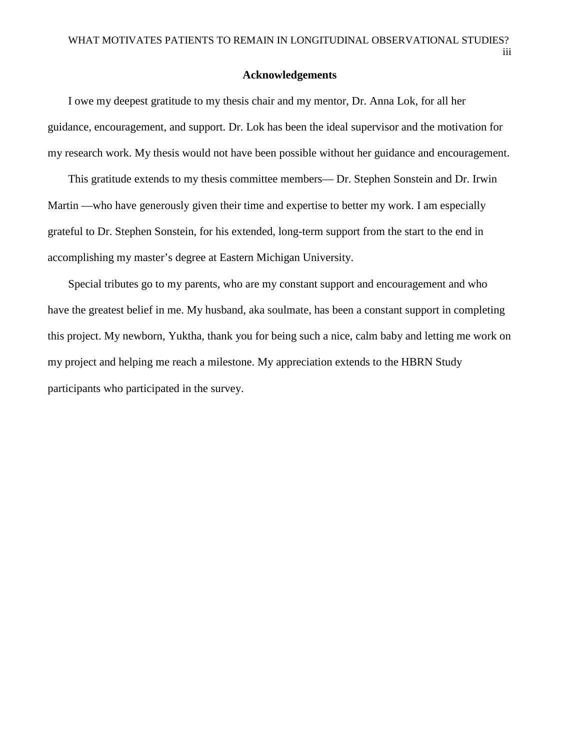iii

#### **Acknowledgements**

I owe my deepest gratitude to my thesis chair and my mentor, Dr. Anna Lok, for all her guidance, encouragement, and support. Dr. Lok has been the ideal supervisor and the motivation for my research work. My thesis would not have been possible without her guidance and encouragement.

This gratitude extends to my thesis committee members— Dr. Stephen Sonstein and Dr. Irwin Martin —who have generously given their time and expertise to better my work. I am especially grateful to Dr. Stephen Sonstein, for his extended, long-term support from the start to the end in accomplishing my master's degree at Eastern Michigan University.

Special tributes go to my parents, who are my constant support and encouragement and who have the greatest belief in me. My husband, aka soulmate, has been a constant support in completing this project. My newborn, Yuktha, thank you for being such a nice, calm baby and letting me work on my project and helping me reach a milestone. My appreciation extends to the HBRN Study participants who participated in the survey.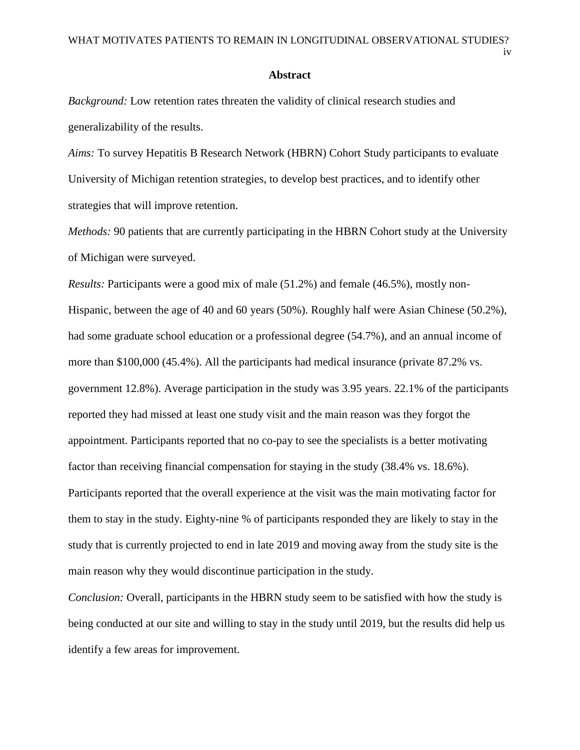iv

#### **Abstract**

*Background:* Low retention rates threaten the validity of clinical research studies and generalizability of the results.

*Aims:* To survey Hepatitis B Research Network (HBRN) Cohort Study participants to evaluate University of Michigan retention strategies, to develop best practices, and to identify other strategies that will improve retention.

*Methods:* 90 patients that are currently participating in the HBRN Cohort study at the University of Michigan were surveyed.

*Results:* Participants were a good mix of male (51.2%) and female (46.5%), mostly non-Hispanic, between the age of 40 and 60 years (50%). Roughly half were Asian Chinese (50.2%), had some graduate school education or a professional degree (54.7%), and an annual income of more than \$100,000 (45.4%). All the participants had medical insurance (private 87.2% vs. government 12.8%). Average participation in the study was 3.95 years. 22.1% of the participants reported they had missed at least one study visit and the main reason was they forgot the appointment. Participants reported that no co-pay to see the specialists is a better motivating factor than receiving financial compensation for staying in the study (38.4% vs. 18.6%). Participants reported that the overall experience at the visit was the main motivating factor for them to stay in the study. Eighty-nine % of participants responded they are likely to stay in the study that is currently projected to end in late 2019 and moving away from the study site is the main reason why they would discontinue participation in the study.

*Conclusion:* Overall, participants in the HBRN study seem to be satisfied with how the study is being conducted at our site and willing to stay in the study until 2019, but the results did help us identify a few areas for improvement.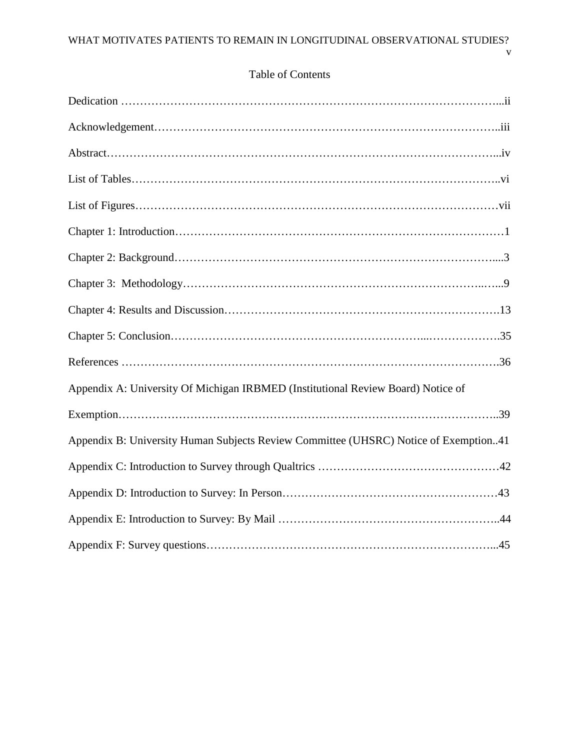v

| Appendix A: University Of Michigan IRBMED (Institutional Review Board) Notice of     |
|--------------------------------------------------------------------------------------|
|                                                                                      |
| Appendix B: University Human Subjects Review Committee (UHSRC) Notice of Exemption41 |
|                                                                                      |
|                                                                                      |
|                                                                                      |
|                                                                                      |

## Table of Contents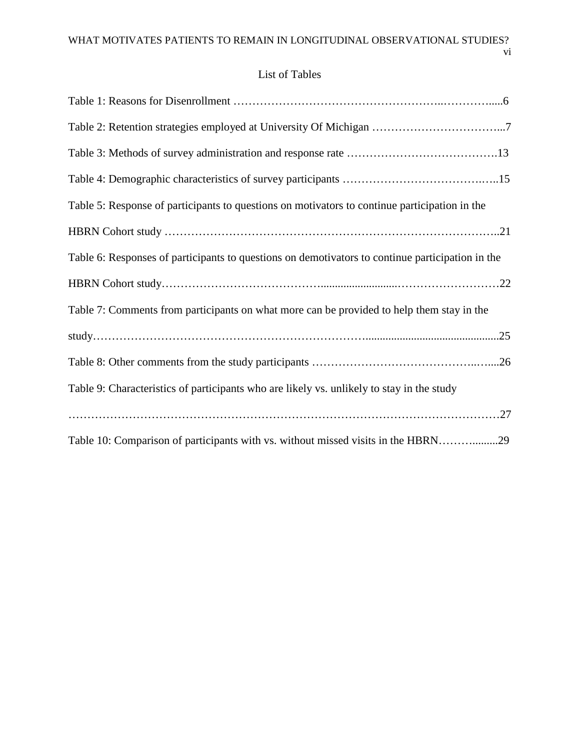# List of Tables

| Table 2: Retention strategies employed at University Of Michigan 7                               |
|--------------------------------------------------------------------------------------------------|
|                                                                                                  |
|                                                                                                  |
| Table 5: Response of participants to questions on motivators to continue participation in the    |
|                                                                                                  |
| Table 6: Responses of participants to questions on demotivators to continue participation in the |
|                                                                                                  |
| Table 7: Comments from participants on what more can be provided to help them stay in the        |
|                                                                                                  |
|                                                                                                  |
|                                                                                                  |
| Table 9: Characteristics of participants who are likely vs. unlikely to stay in the study        |
|                                                                                                  |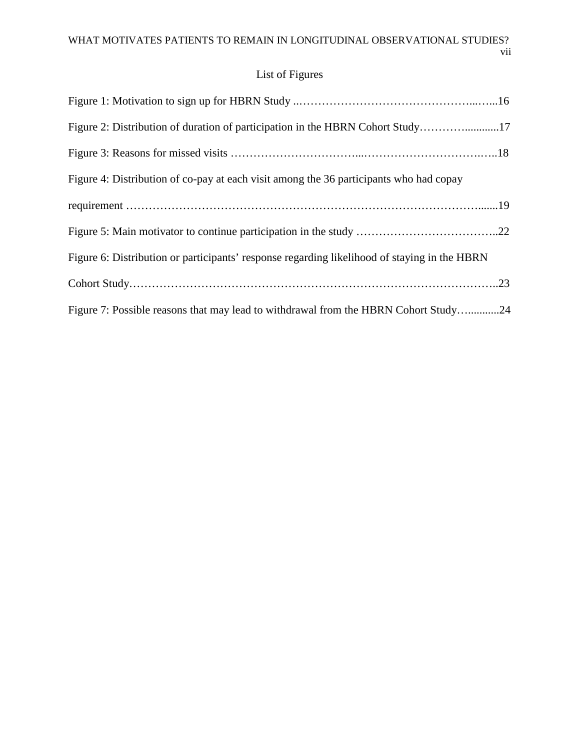# List of Figures

| Figure 2: Distribution of duration of participation in the HBRN Cohort Study17               |  |
|----------------------------------------------------------------------------------------------|--|
|                                                                                              |  |
| Figure 4: Distribution of co-pay at each visit among the 36 participants who had copay       |  |
|                                                                                              |  |
|                                                                                              |  |
| Figure 6: Distribution or participants' response regarding likelihood of staying in the HBRN |  |
|                                                                                              |  |
| Figure 7: Possible reasons that may lead to withdrawal from the HBRN Cohort Study24          |  |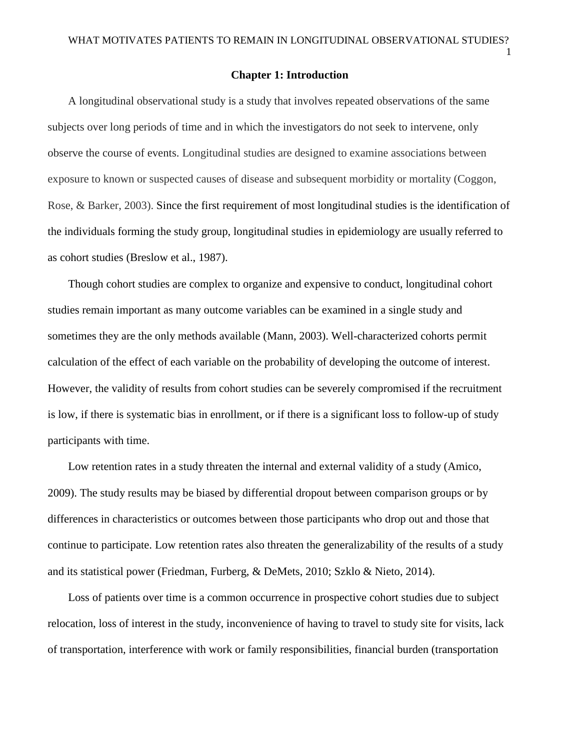#### **Chapter 1: Introduction**

A longitudinal observational study is a study that involves repeated observations of the same subjects over long periods of time and in which the investigators do not seek to intervene, only observe the course of events. Longitudinal studies are designed to examine associations between exposure to known or suspected causes of disease and subsequent morbidity or mortality (Coggon, Rose, & Barker, 2003). Since the first requirement of most longitudinal studies is the identification of the individuals forming the study group, longitudinal studies in epidemiology are usually referred to as cohort studies (Breslow et al., 1987).

Though cohort studies are complex to organize and expensive to conduct, longitudinal cohort studies remain important as many outcome variables can be examined in a single study and sometimes they are the only methods available (Mann, 2003). Well-characterized cohorts permit calculation of the effect of each variable on the probability of developing the outcome of interest. However, the validity of results from cohort studies can be severely compromised if the recruitment is low, if there is systematic bias in enrollment, or if there is a significant loss to follow-up of study participants with time.

Low retention rates in a study threaten the internal and external validity of a study (Amico, 2009). The study results may be biased by differential dropout between comparison groups or by differences in characteristics or outcomes between those participants who drop out and those that continue to participate. Low retention rates also threaten the generalizability of the results of a study and its statistical power (Friedman, Furberg, & DeMets, 2010; Szklo & Nieto, 2014).

Loss of patients over time is a common occurrence in prospective cohort studies due to subject relocation, loss of interest in the study, inconvenience of having to travel to study site for visits, lack of transportation, interference with work or family responsibilities, financial burden (transportation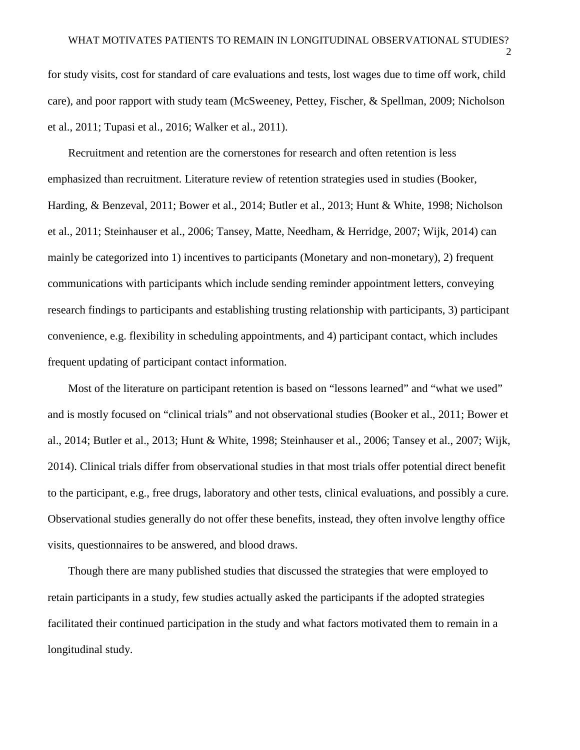for study visits, cost for standard of care evaluations and tests, lost wages due to time off work, child care), and poor rapport with study team (McSweeney, Pettey, Fischer, & Spellman, 2009; Nicholson et al., 2011; Tupasi et al., 2016; Walker et al., 2011).

Recruitment and retention are the cornerstones for research and often retention is less emphasized than recruitment. Literature review of retention strategies used in studies (Booker, Harding, & Benzeval, 2011; Bower et al., 2014; Butler et al., 2013; Hunt & White, 1998; Nicholson et al., 2011; Steinhauser et al., 2006; Tansey, Matte, Needham, & Herridge, 2007; Wijk, 2014) can mainly be categorized into 1) incentives to participants (Monetary and non-monetary), 2) frequent communications with participants which include sending reminder appointment letters, conveying research findings to participants and establishing trusting relationship with participants, 3) participant convenience, e.g. flexibility in scheduling appointments, and 4) participant contact, which includes frequent updating of participant contact information.

Most of the literature on participant retention is based on "lessons learned" and "what we used" and is mostly focused on "clinical trials" and not observational studies (Booker et al., 2011; Bower et al., 2014; Butler et al., 2013; Hunt & White, 1998; Steinhauser et al., 2006; Tansey et al., 2007; Wijk, 2014). Clinical trials differ from observational studies in that most trials offer potential direct benefit to the participant, e.g., free drugs, laboratory and other tests, clinical evaluations, and possibly a cure. Observational studies generally do not offer these benefits, instead, they often involve lengthy office visits, questionnaires to be answered, and blood draws.

Though there are many published studies that discussed the strategies that were employed to retain participants in a study, few studies actually asked the participants if the adopted strategies facilitated their continued participation in the study and what factors motivated them to remain in a longitudinal study.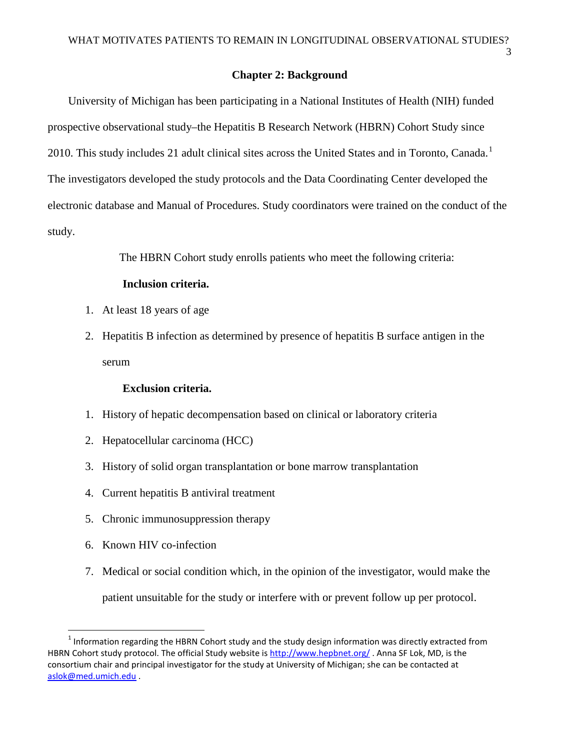3

#### **Chapter 2: Background**

University of Michigan has been participating in a National Institutes of Health (NIH) funded prospective observational study–the Hepatitis B Research Network (HBRN) Cohort Study since 20[1](#page-10-0)0. This study includes 21 adult clinical sites across the United States and in Toronto, Canada.<sup>1</sup> The investigators developed the study protocols and the Data Coordinating Center developed the electronic database and Manual of Procedures. Study coordinators were trained on the conduct of the study.

The HBRN Cohort study enrolls patients who meet the following criteria:

#### **Inclusion criteria.**

- 1. At least 18 years of age
- 2. Hepatitis B infection as determined by presence of hepatitis B surface antigen in the serum

#### **Exclusion criteria.**

- 1. History of hepatic decompensation based on clinical or laboratory criteria
- 2. Hepatocellular carcinoma (HCC)
- 3. History of solid organ transplantation or bone marrow transplantation
- 4. Current hepatitis B antiviral treatment
- 5. Chronic immunosuppression therapy
- 6. Known HIV co-infection
- 7. Medical or social condition which, in the opinion of the investigator, would make the patient unsuitable for the study or interfere with or prevent follow up per protocol.

<span id="page-10-0"></span> $1$  Information regarding the HBRN Cohort study and the study design information was directly extracted from HBRN Cohort study protocol. The official Study website is<http://www.hepbnet.org/> . Anna SF Lok, MD, is the consortium chair and principal investigator for the study at University of Michigan; she can be contacted at [aslok@med.umich.edu](mailto:aslok@med.umich.edu) .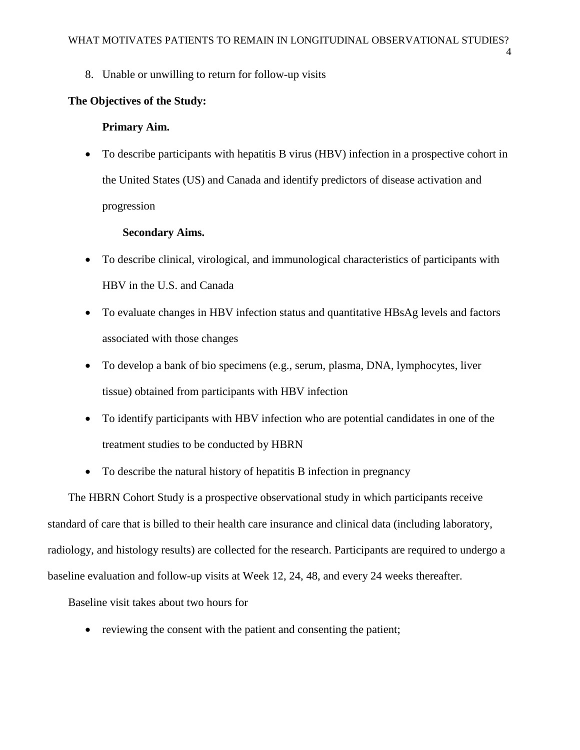4

8. Unable or unwilling to return for follow-up visits

### **The Objectives of the Study:**

#### **Primary Aim.**

• To describe participants with hepatitis B virus (HBV) infection in a prospective cohort in the United States (US) and Canada and identify predictors of disease activation and progression

### **Secondary Aims.**

- To describe clinical, virological, and immunological characteristics of participants with HBV in the U.S. and Canada
- To evaluate changes in HBV infection status and quantitative HBsAg levels and factors associated with those changes
- To develop a bank of bio specimens (e.g., serum, plasma, DNA, lymphocytes, liver tissue) obtained from participants with HBV infection
- To identify participants with HBV infection who are potential candidates in one of the treatment studies to be conducted by HBRN
- To describe the natural history of hepatitis B infection in pregnancy

The HBRN Cohort Study is a prospective observational study in which participants receive standard of care that is billed to their health care insurance and clinical data (including laboratory, radiology, and histology results) are collected for the research. Participants are required to undergo a baseline evaluation and follow-up visits at Week 12, 24, 48, and every 24 weeks thereafter.

Baseline visit takes about two hours for

• reviewing the consent with the patient and consenting the patient;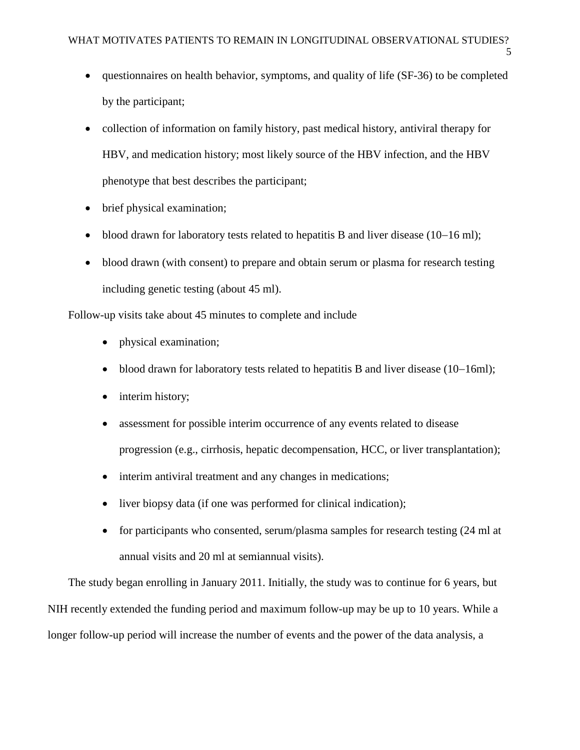- questionnaires on health behavior, symptoms, and quality of life (SF-36) to be completed by the participant;
- collection of information on family history, past medical history, antiviral therapy for HBV, and medication history; most likely source of the HBV infection, and the HBV phenotype that best describes the participant;
- brief physical examination;
- blood drawn for laboratory tests related to hepatitis B and liver disease (10−16 ml);
- blood drawn (with consent) to prepare and obtain serum or plasma for research testing including genetic testing (about 45 ml).

Follow-up visits take about 45 minutes to complete and include

- physical examination;
- blood drawn for laboratory tests related to hepatitis B and liver disease (10−16ml);
- interim history;
- assessment for possible interim occurrence of any events related to disease progression (e.g., cirrhosis, hepatic decompensation, HCC, or liver transplantation);
- interim antiviral treatment and any changes in medications;
- liver biopsy data (if one was performed for clinical indication);
- for participants who consented, serum/plasma samples for research testing (24 ml at annual visits and 20 ml at semiannual visits).

The study began enrolling in January 2011. Initially, the study was to continue for 6 years, but NIH recently extended the funding period and maximum follow-up may be up to 10 years. While a longer follow-up period will increase the number of events and the power of the data analysis, a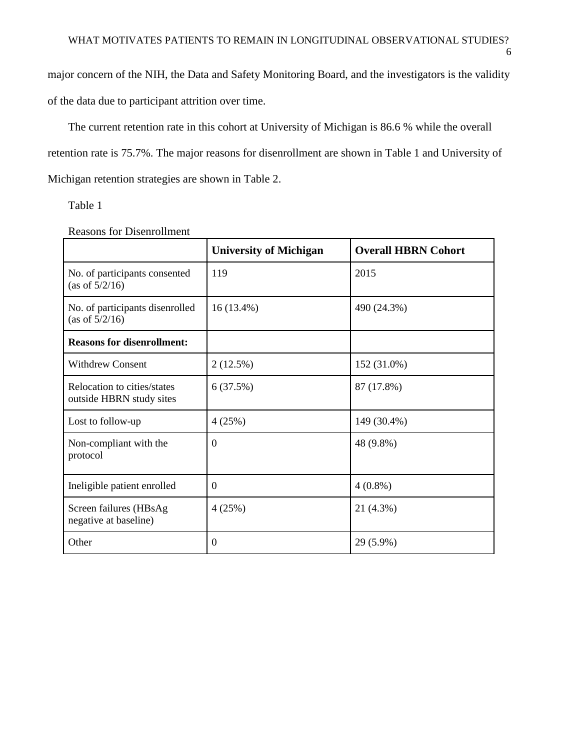6

major concern of the NIH, the Data and Safety Monitoring Board, and the investigators is the validity of the data due to participant attrition over time.

The current retention rate in this cohort at University of Michigan is 86.6 % while the overall retention rate is 75.7%. The major reasons for disenrollment are shown in Table 1 and University of Michigan retention strategies are shown in Table 2.

Table 1

|                                                         | <b>University of Michigan</b> | <b>Overall HBRN Cohort</b> |
|---------------------------------------------------------|-------------------------------|----------------------------|
| No. of participants consented<br>(as of $5/2/16$ )      | 119                           | 2015                       |
| No. of participants disenrolled<br>(as of $5/2/16$ )    | $16(13.4\%)$                  | 490 (24.3%)                |
| <b>Reasons for disenrollment:</b>                       |                               |                            |
| <b>Withdrew Consent</b>                                 | 2(12.5%)                      | 152 (31.0%)                |
| Relocation to cities/states<br>outside HBRN study sites | 6(37.5%)                      | 87 (17.8%)                 |
| Lost to follow-up                                       | 4(25%)                        | 149 (30.4%)                |
| Non-compliant with the<br>protocol                      | $\Omega$                      | 48 (9.8%)                  |
| Ineligible patient enrolled                             | $\overline{0}$                | $4(0.8\%)$                 |
| Screen failures (HBsAg<br>negative at baseline)         | 4(25%)                        | 21 (4.3%)                  |
| Other                                                   | $\boldsymbol{0}$              | 29 (5.9%)                  |

Reasons for Disenrollment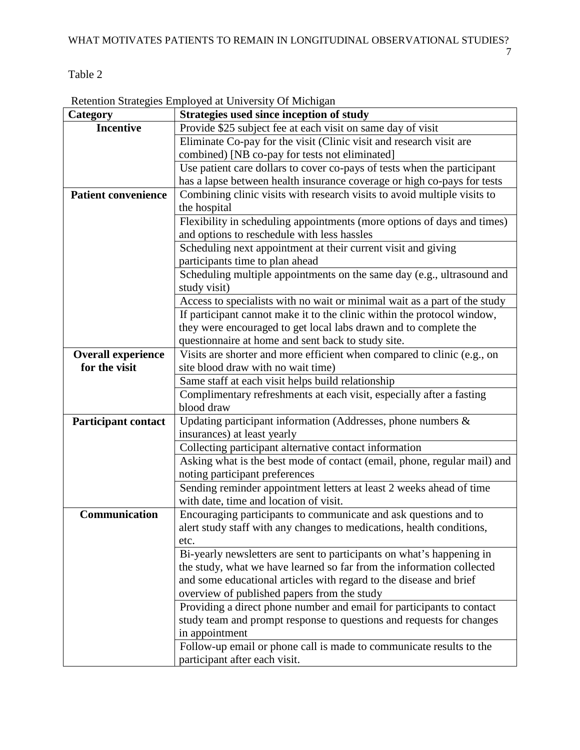# Table 2

Retention Strategies Employed at University Of Michigan

| Category                   | Strategies used since inception of study                                  |
|----------------------------|---------------------------------------------------------------------------|
| <b>Incentive</b>           | Provide \$25 subject fee at each visit on same day of visit               |
|                            | Eliminate Co-pay for the visit (Clinic visit and research visit are       |
|                            | combined) [NB co-pay for tests not eliminated]                            |
|                            | Use patient care dollars to cover co-pays of tests when the participant   |
|                            | has a lapse between health insurance coverage or high co-pays for tests   |
| <b>Patient convenience</b> | Combining clinic visits with research visits to avoid multiple visits to  |
|                            | the hospital                                                              |
|                            | Flexibility in scheduling appointments (more options of days and times)   |
|                            | and options to reschedule with less hassles                               |
|                            | Scheduling next appointment at their current visit and giving             |
|                            | participants time to plan ahead                                           |
|                            | Scheduling multiple appointments on the same day (e.g., ultrasound and    |
|                            | study visit)                                                              |
|                            | Access to specialists with no wait or minimal wait as a part of the study |
|                            | If participant cannot make it to the clinic within the protocol window,   |
|                            | they were encouraged to get local labs drawn and to complete the          |
|                            | questionnaire at home and sent back to study site.                        |
| <b>Overall experience</b>  | Visits are shorter and more efficient when compared to clinic (e.g., on   |
| for the visit              | site blood draw with no wait time)                                        |
|                            | Same staff at each visit helps build relationship                         |
|                            | Complimentary refreshments at each visit, especially after a fasting      |
|                            | blood draw                                                                |
| <b>Participant contact</b> | Updating participant information (Addresses, phone numbers $\&$           |
|                            | insurances) at least yearly                                               |
|                            | Collecting participant alternative contact information                    |
|                            | Asking what is the best mode of contact (email, phone, regular mail) and  |
|                            | noting participant preferences                                            |
|                            | Sending reminder appointment letters at least 2 weeks ahead of time       |
|                            | with date, time and location of visit.                                    |
| Communication              | Encouraging participants to communicate and ask questions and to          |
|                            | alert study staff with any changes to medications, health conditions,     |
|                            | etc.                                                                      |
|                            | Bi-yearly newsletters are sent to participants on what's happening in     |
|                            | the study, what we have learned so far from the information collected     |
|                            | and some educational articles with regard to the disease and brief        |
|                            | overview of published papers from the study                               |
|                            | Providing a direct phone number and email for participants to contact     |
|                            | study team and prompt response to questions and requests for changes      |
|                            | in appointment                                                            |
|                            | Follow-up email or phone call is made to communicate results to the       |
|                            | participant after each visit.                                             |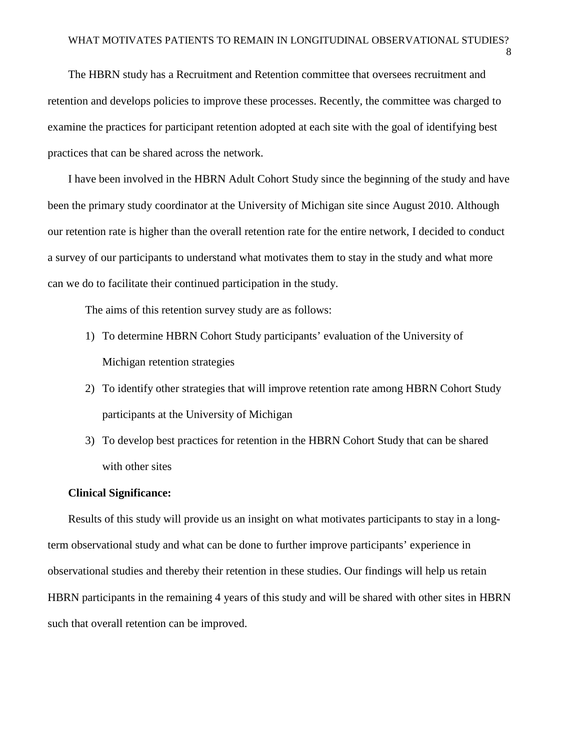The HBRN study has a Recruitment and Retention committee that oversees recruitment and retention and develops policies to improve these processes. Recently, the committee was charged to examine the practices for participant retention adopted at each site with the goal of identifying best practices that can be shared across the network.

I have been involved in the HBRN Adult Cohort Study since the beginning of the study and have been the primary study coordinator at the University of Michigan site since August 2010. Although our retention rate is higher than the overall retention rate for the entire network, I decided to conduct a survey of our participants to understand what motivates them to stay in the study and what more can we do to facilitate their continued participation in the study.

The aims of this retention survey study are as follows:

- 1) To determine HBRN Cohort Study participants' evaluation of the University of Michigan retention strategies
- 2) To identify other strategies that will improve retention rate among HBRN Cohort Study participants at the University of Michigan
- 3) To develop best practices for retention in the HBRN Cohort Study that can be shared with other sites

#### **Clinical Significance:**

Results of this study will provide us an insight on what motivates participants to stay in a longterm observational study and what can be done to further improve participants' experience in observational studies and thereby their retention in these studies. Our findings will help us retain HBRN participants in the remaining 4 years of this study and will be shared with other sites in HBRN such that overall retention can be improved.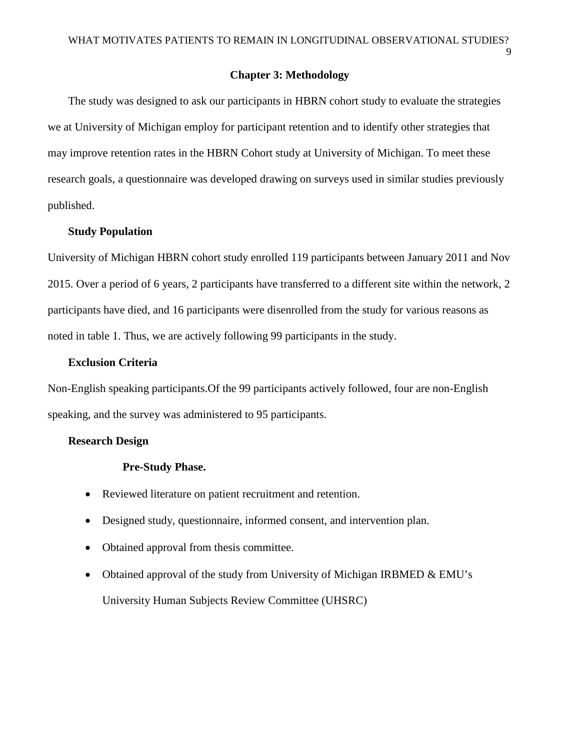9

### **Chapter 3: Methodology**

The study was designed to ask our participants in HBRN cohort study to evaluate the strategies we at University of Michigan employ for participant retention and to identify other strategies that may improve retention rates in the HBRN Cohort study at University of Michigan. To meet these research goals, a questionnaire was developed drawing on surveys used in similar studies previously published.

### **Study Population**

University of Michigan HBRN cohort study enrolled 119 participants between January 2011 and Nov 2015. Over a period of 6 years, 2 participants have transferred to a different site within the network, 2 participants have died, and 16 participants were disenrolled from the study for various reasons as noted in table 1. Thus, we are actively following 99 participants in the study.

#### **Exclusion Criteria**

Non-English speaking participants.Of the 99 participants actively followed, four are non-English speaking, and the survey was administered to 95 participants.

#### **Research Design**

#### **Pre-Study Phase.**

- Reviewed literature on patient recruitment and retention.
- Designed study, questionnaire, informed consent, and intervention plan.
- Obtained approval from thesis committee.
- Obtained approval of the study from University of Michigan IRBMED & EMU's University Human Subjects Review Committee (UHSRC)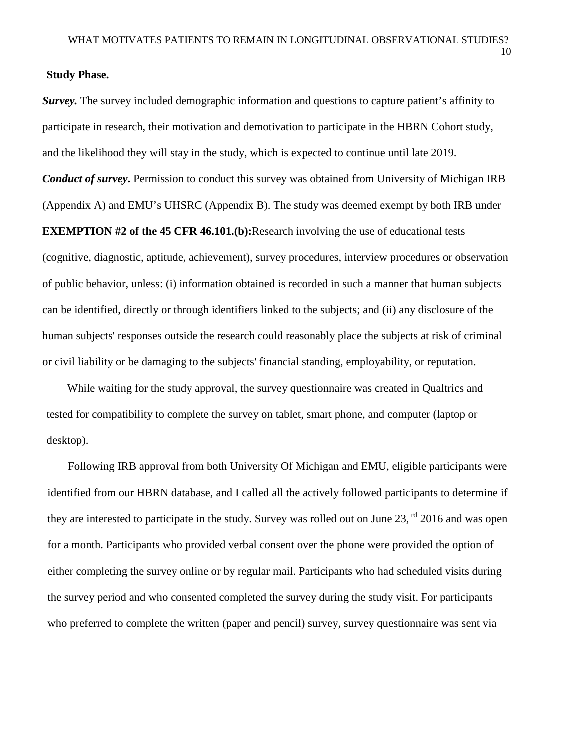#### **Study Phase.**

*Survey.* The survey included demographic information and questions to capture patient's affinity to participate in research, their motivation and demotivation to participate in the HBRN Cohort study, and the likelihood they will stay in the study, which is expected to continue until late 2019. *Conduct of survey*. Permission to conduct this survey was obtained from University of Michigan IRB (Appendix A) and EMU's UHSRC (Appendix B). The study was deemed exempt by both IRB under **EXEMPTION #2 of the 45 CFR 46.101.(b):**Research involving the use of educational tests (cognitive, diagnostic, aptitude, achievement), survey procedures, interview procedures or observation of public behavior, unless: (i) information obtained is recorded in such a manner that human subjects can be identified, directly or through identifiers linked to the subjects; and (ii) any disclosure of the human subjects' responses outside the research could reasonably place the subjects at risk of criminal or civil liability or be damaging to the subjects' financial standing, employability, or reputation.

While waiting for the study approval, the survey questionnaire was created in Qualtrics and tested for compatibility to complete the survey on tablet, smart phone, and computer (laptop or desktop).

Following IRB approval from both University Of Michigan and EMU, eligible participants were identified from our HBRN database, and I called all the actively followed participants to determine if they are interested to participate in the study. Survey was rolled out on June 23, <sup>rd</sup> 2016 and was open for a month. Participants who provided verbal consent over the phone were provided the option of either completing the survey online or by regular mail. Participants who had scheduled visits during the survey period and who consented completed the survey during the study visit. For participants who preferred to complete the written (paper and pencil) survey, survey questionnaire was sent via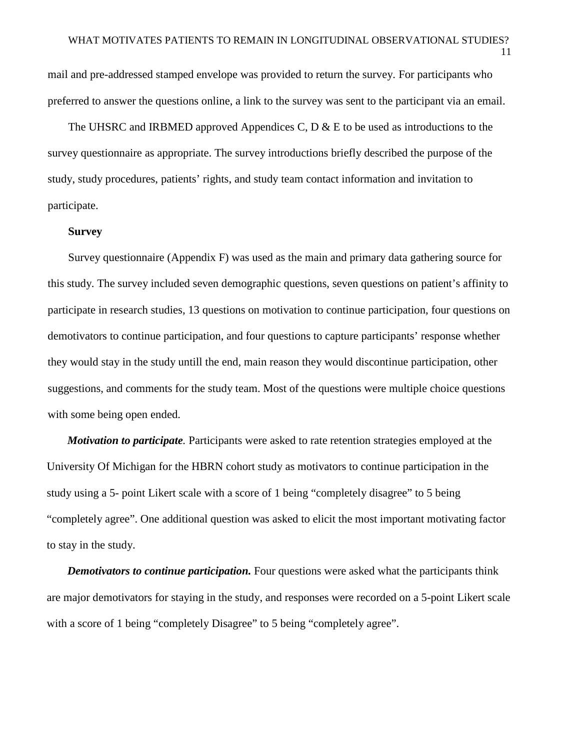11

mail and pre-addressed stamped envelope was provided to return the survey. For participants who preferred to answer the questions online, a link to the survey was sent to the participant via an email.

The UHSRC and IRBMED approved Appendices C,  $D \& E$  to be used as introductions to the survey questionnaire as appropriate. The survey introductions briefly described the purpose of the study, study procedures, patients' rights, and study team contact information and invitation to participate.

#### **Survey**

Survey questionnaire (Appendix F) was used as the main and primary data gathering source for this study. The survey included seven demographic questions, seven questions on patient's affinity to participate in research studies, 13 questions on motivation to continue participation, four questions on demotivators to continue participation, and four questions to capture participants' response whether they would stay in the study untill the end, main reason they would discontinue participation, other suggestions, and comments for the study team. Most of the questions were multiple choice questions with some being open ended.

*Motivation to participate.* Participants were asked to rate retention strategies employed at the University Of Michigan for the HBRN cohort study as motivators to continue participation in the study using a 5- point Likert scale with a score of 1 being "completely disagree" to 5 being "completely agree". One additional question was asked to elicit the most important motivating factor to stay in the study.

*Demotivators to continue participation.* Four questions were asked what the participants think are major demotivators for staying in the study, and responses were recorded on a 5-point Likert scale with a score of 1 being "completely Disagree" to 5 being "completely agree".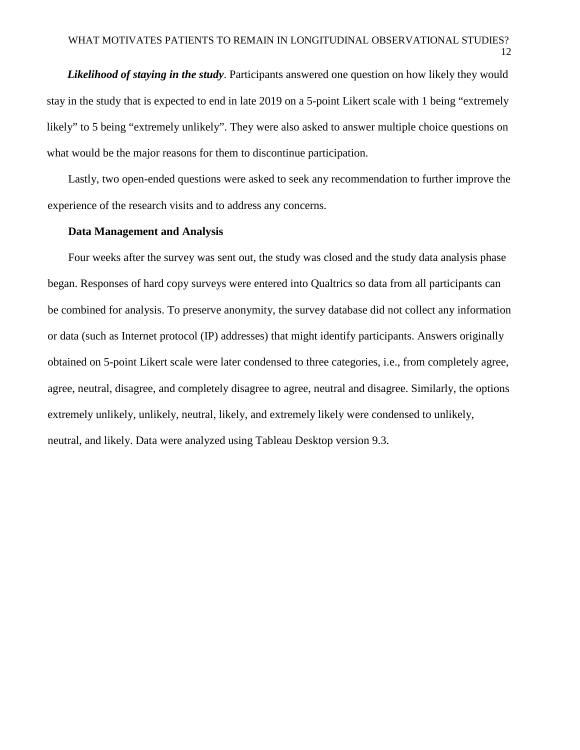*Likelihood of staying in the study*. Participants answered one question on how likely they would stay in the study that is expected to end in late 2019 on a 5-point Likert scale with 1 being "extremely likely" to 5 being "extremely unlikely". They were also asked to answer multiple choice questions on what would be the major reasons for them to discontinue participation.

Lastly, two open-ended questions were asked to seek any recommendation to further improve the experience of the research visits and to address any concerns.

### **Data Management and Analysis**

Four weeks after the survey was sent out, the study was closed and the study data analysis phase began. Responses of hard copy surveys were entered into Qualtrics so data from all participants can be combined for analysis. To preserve anonymity, the survey database did not collect any information or data (such as Internet protocol (IP) addresses) that might identify participants. Answers originally obtained on 5-point Likert scale were later condensed to three categories, i.e., from completely agree, agree, neutral, disagree, and completely disagree to agree, neutral and disagree. Similarly, the options extremely unlikely, unlikely, neutral, likely, and extremely likely were condensed to unlikely, neutral, and likely. Data were analyzed using Tableau Desktop version 9.3.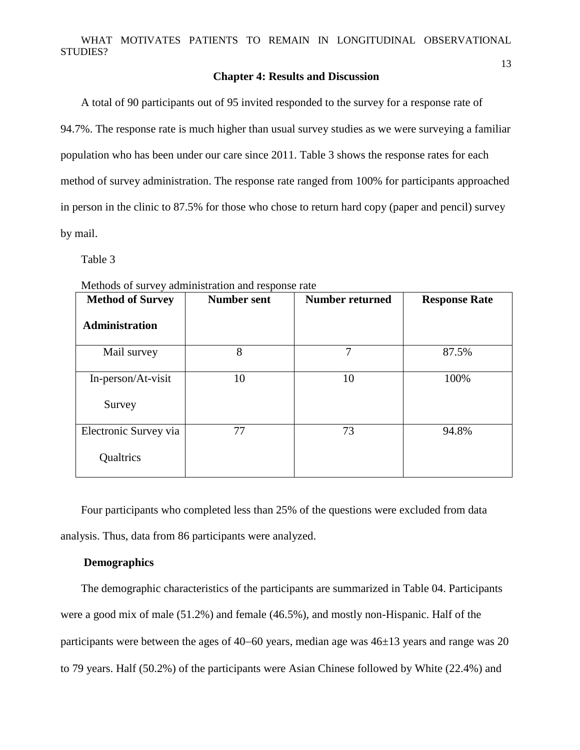#### **Chapter 4: Results and Discussion**

A total of 90 participants out of 95 invited responded to the survey for a response rate of 94.7%. The response rate is much higher than usual survey studies as we were surveying a familiar population who has been under our care since 2011. Table 3 shows the response rates for each method of survey administration. The response rate ranged from 100% for participants approached in person in the clinic to 87.5% for those who chose to return hard copy (paper and pencil) survey by mail.

Table 3

| <b>Method of Survey</b> | <b>Number sent</b> | <b>Number returned</b> | <b>Response Rate</b> |
|-------------------------|--------------------|------------------------|----------------------|
| <b>Administration</b>   |                    |                        |                      |
| Mail survey             | 8                  | 7                      | 87.5%                |
| In-person/At-visit      | 10                 | 10                     | 100%                 |
| Survey                  |                    |                        |                      |
| Electronic Survey via   | 77                 | 73                     | 94.8%                |
| Qualtrics               |                    |                        |                      |

Methods of survey administration and response rate

Four participants who completed less than 25% of the questions were excluded from data analysis. Thus, data from 86 participants were analyzed.

### **Demographics**

The demographic characteristics of the participants are summarized in Table 04. Participants were a good mix of male (51.2%) and female (46.5%), and mostly non-Hispanic. Half of the participants were between the ages of 40−60 years, median age was 46±13 years and range was 20 to 79 years. Half (50.2%) of the participants were Asian Chinese followed by White (22.4%) and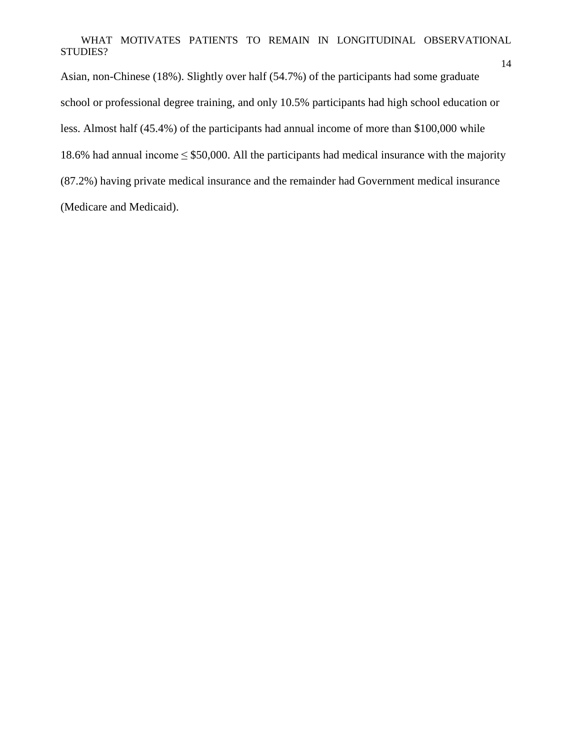Asian, non-Chinese (18%). Slightly over half (54.7%) of the participants had some graduate school or professional degree training, and only 10.5% participants had high school education or less. Almost half (45.4%) of the participants had annual income of more than \$100,000 while 18.6% had annual income  $\leq$  \$50,000. All the participants had medical insurance with the majority (87.2%) having private medical insurance and the remainder had Government medical insurance (Medicare and Medicaid).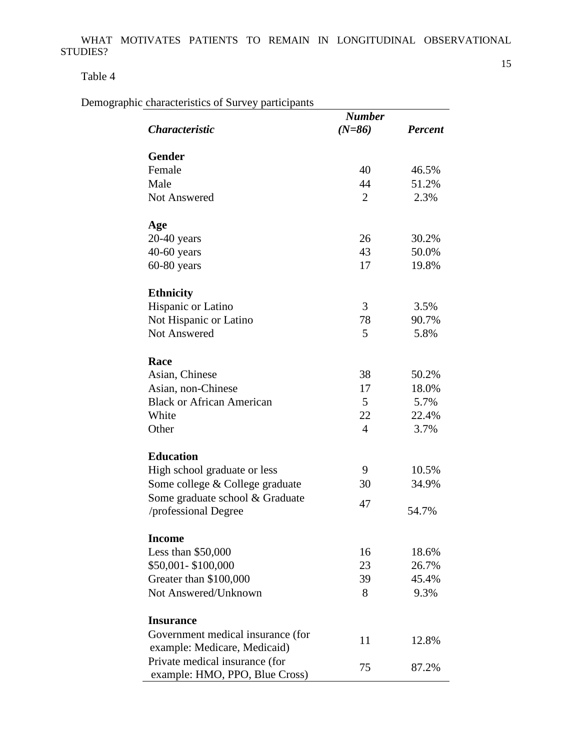Table 4

Demographic characteristics of Survey participants

|                                                                  | <b>Number</b>  |                |  |
|------------------------------------------------------------------|----------------|----------------|--|
| <i><b>Characteristic</b></i>                                     | $(N=86)$       | <b>Percent</b> |  |
| <b>Gender</b>                                                    |                |                |  |
| Female                                                           | 40             | 46.5%          |  |
| Male                                                             | 44             | 51.2%          |  |
| <b>Not Answered</b>                                              | $\overline{2}$ | 2.3%           |  |
| Age                                                              |                |                |  |
| $20-40$ years                                                    | 26             | 30.2%          |  |
| $40-60$ years                                                    | 43             | 50.0%          |  |
| $60-80$ years                                                    | 17             | 19.8%          |  |
| <b>Ethnicity</b>                                                 |                |                |  |
| Hispanic or Latino                                               | 3              | 3.5%           |  |
| Not Hispanic or Latino                                           | 78             | 90.7%          |  |
| Not Answered                                                     | 5              | 5.8%           |  |
| Race                                                             |                |                |  |
| Asian, Chinese                                                   | 38             | 50.2%          |  |
| Asian, non-Chinese                                               | 17             | 18.0%          |  |
| <b>Black or African American</b>                                 | 5              | 5.7%           |  |
| White                                                            | 22             | 22.4%          |  |
| Other                                                            | $\overline{4}$ | 3.7%           |  |
| <b>Education</b>                                                 |                |                |  |
| High school graduate or less                                     | 9              | 10.5%          |  |
| Some college & College graduate                                  | 30             | 34.9%          |  |
| Some graduate school & Graduate                                  | 47             |                |  |
| professional Degree                                              |                | 54.7%          |  |
| <b>Income</b>                                                    |                |                |  |
| Less than $$50,000$                                              | 16             | 18.6%          |  |
| \$50,001-\$100,000                                               | 23             | 26.7%          |  |
| Greater than \$100,000                                           | 39             | 45.4%          |  |
| Not Answered/Unknown                                             | 8              | 9.3%           |  |
| <b>Insurance</b>                                                 |                |                |  |
| Government medical insurance (for                                | 11             | 12.8%          |  |
| example: Medicare, Medicaid)                                     |                |                |  |
| Private medical insurance (for<br>example: HMO, PPO, Blue Cross) | 75             | 87.2%          |  |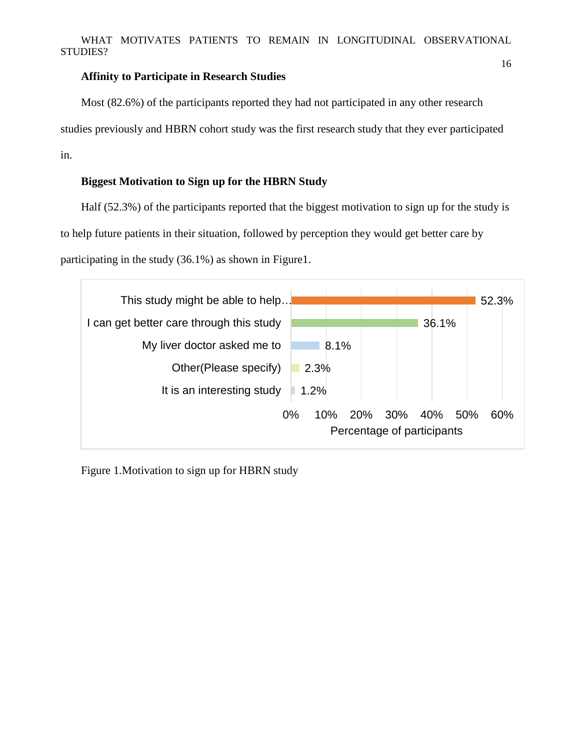### **Affinity to Participate in Research Studies**

Most (82.6%) of the participants reported they had not participated in any other research studies previously and HBRN cohort study was the first research study that they ever participated in.

### **Biggest Motivation to Sign up for the HBRN Study**

Half (52.3%) of the participants reported that the biggest motivation to sign up for the study is to help future patients in their situation, followed by perception they would get better care by participating in the study (36.1%) as shown in Figure1.



Figure 1.Motivation to sign up for HBRN study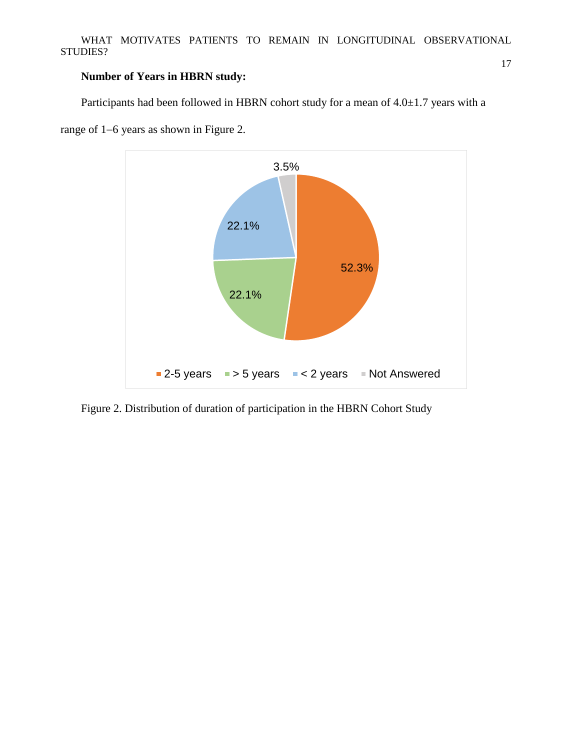### **Number of Years in HBRN study:**

Participants had been followed in HBRN cohort study for a mean of  $4.0 \pm 1.7$  years with a



range of 1−6 years as shown in Figure 2.

Figure 2. Distribution of duration of participation in the HBRN Cohort Study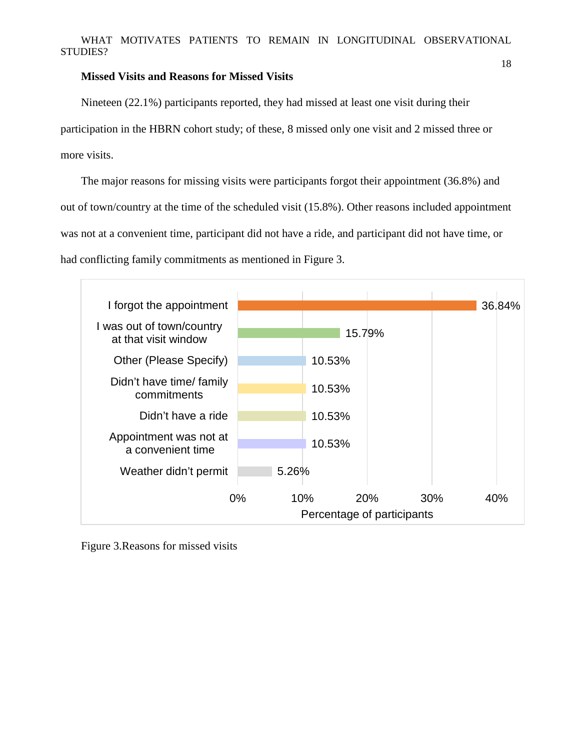#### **Missed Visits and Reasons for Missed Visits**

Nineteen (22.1%) participants reported, they had missed at least one visit during their participation in the HBRN cohort study; of these, 8 missed only one visit and 2 missed three or more visits.

The major reasons for missing visits were participants forgot their appointment (36.8%) and out of town/country at the time of the scheduled visit (15.8%). Other reasons included appointment was not at a convenient time, participant did not have a ride, and participant did not have time, or had conflicting family commitments as mentioned in Figure 3.



Figure 3.Reasons for missed visits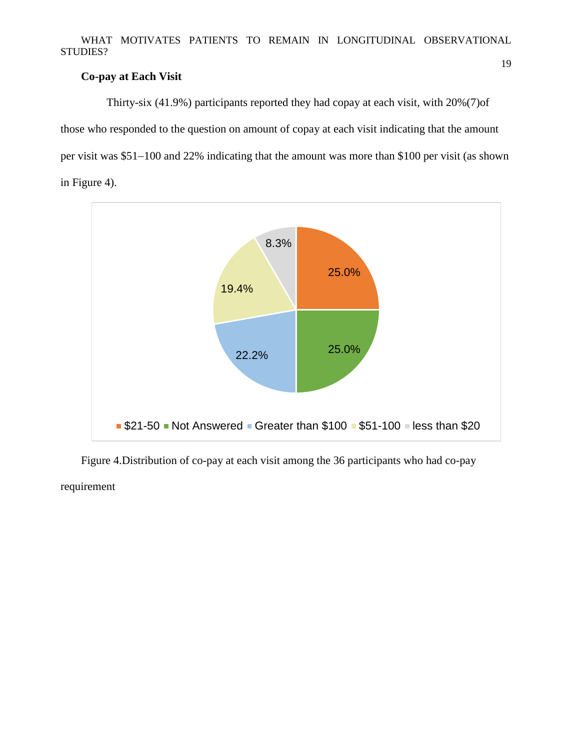### **Co-pay at Each Visit**

 Thirty-six (41.9%) participants reported they had copay at each visit, with 20%(7)of those who responded to the question on amount of copay at each visit indicating that the amount per visit was \$51−100 and 22% indicating that the amount was more than \$100 per visit (as shown in Figure 4).



Figure 4.Distribution of co-pay at each visit among the 36 participants who had co-pay requirement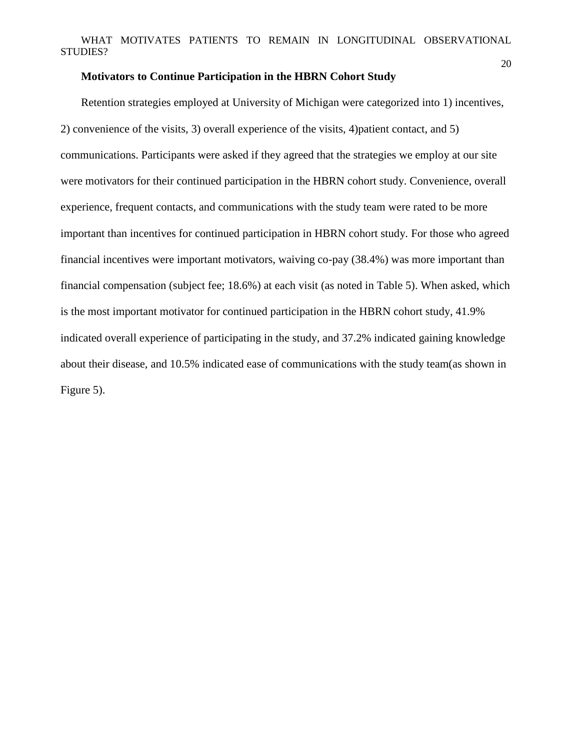#### **Motivators to Continue Participation in the HBRN Cohort Study**

Retention strategies employed at University of Michigan were categorized into 1) incentives, 2) convenience of the visits, 3) overall experience of the visits, 4)patient contact, and 5) communications. Participants were asked if they agreed that the strategies we employ at our site were motivators for their continued participation in the HBRN cohort study. Convenience, overall experience, frequent contacts, and communications with the study team were rated to be more important than incentives for continued participation in HBRN cohort study. For those who agreed financial incentives were important motivators, waiving co-pay (38.4%) was more important than financial compensation (subject fee; 18.6%) at each visit (as noted in Table 5). When asked, which is the most important motivator for continued participation in the HBRN cohort study, 41.9% indicated overall experience of participating in the study, and 37.2% indicated gaining knowledge about their disease, and 10.5% indicated ease of communications with the study team(as shown in Figure 5).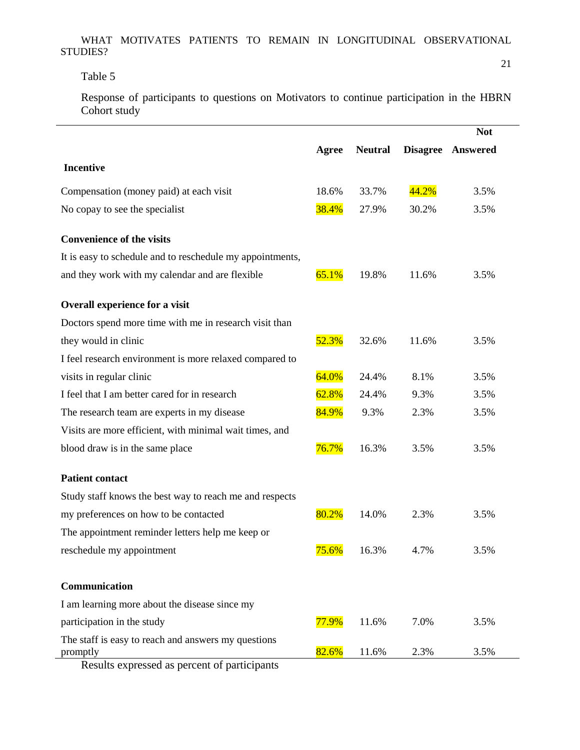## Table 5

21

Response of participants to questions on Motivators to continue participation in the HBRN Cohort study

|                                                                 |          |                |       | <b>Not</b>        |
|-----------------------------------------------------------------|----------|----------------|-------|-------------------|
|                                                                 | Agree    | <b>Neutral</b> |       | Disagree Answered |
| <b>Incentive</b>                                                |          |                |       |                   |
| Compensation (money paid) at each visit                         | 18.6%    | 33.7%          | 44.2% | 3.5%              |
| No copay to see the specialist                                  | 38.4%    | 27.9%          | 30.2% | 3.5%              |
| <b>Convenience of the visits</b>                                |          |                |       |                   |
| It is easy to schedule and to reschedule my appointments,       |          |                |       |                   |
| and they work with my calendar and are flexible                 | 65.1%    | 19.8%          | 11.6% | 3.5%              |
| Overall experience for a visit                                  |          |                |       |                   |
| Doctors spend more time with me in research visit than          |          |                |       |                   |
| they would in clinic                                            | 52.3%    | 32.6%          | 11.6% | 3.5%              |
| I feel research environment is more relaxed compared to         |          |                |       |                   |
| visits in regular clinic                                        | 64.0%    | 24.4%          | 8.1%  | 3.5%              |
| I feel that I am better cared for in research                   | 62.8%    | 24.4%          | 9.3%  | 3.5%              |
| The research team are experts in my disease                     | 84.9%    | 9.3%           | 2.3%  | 3.5%              |
| Visits are more efficient, with minimal wait times, and         |          |                |       |                   |
| blood draw is in the same place                                 | 76.7%    | 16.3%          | 3.5%  | 3.5%              |
| <b>Patient contact</b>                                          |          |                |       |                   |
| Study staff knows the best way to reach me and respects         |          |                |       |                   |
| my preferences on how to be contacted                           | 80.2%    | 14.0%          | 2.3%  | 3.5%              |
| The appointment reminder letters help me keep or                |          |                |       |                   |
| reschedule my appointment                                       | $75.6\%$ | 16.3%          | 4.7%  | 3.5%              |
| Communication                                                   |          |                |       |                   |
| I am learning more about the disease since my                   |          |                |       |                   |
| participation in the study                                      | 77.9%    | 11.6%          | 7.0%  | 3.5%              |
| The staff is easy to reach and answers my questions<br>promptly | 82.6%    | 11.6%          | 2.3%  | 3.5%              |

Results expressed as percent of participants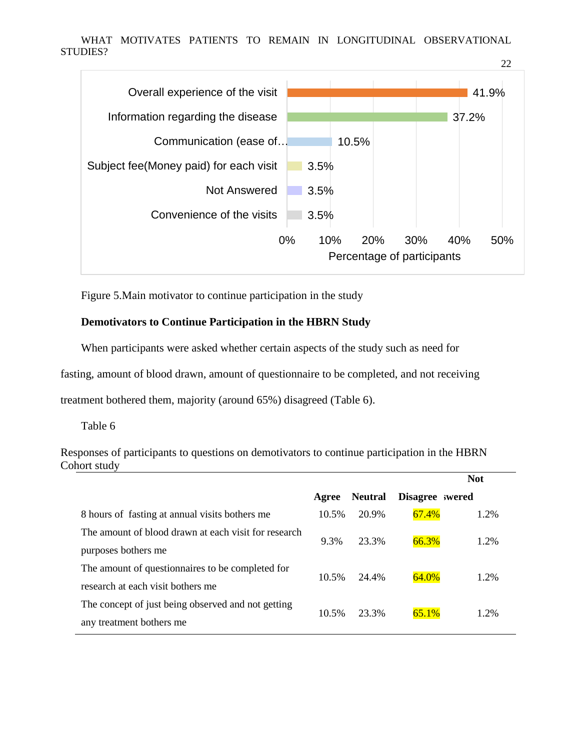

Figure 5.Main motivator to continue participation in the study

### **Demotivators to Continue Participation in the HBRN Study**

When participants were asked whether certain aspects of the study such as need for

fasting, amount of blood drawn, amount of questionnaire to be completed, and not receiving

treatment bothered them, majority (around 65%) disagreed (Table 6).

Table 6

Responses of participants to questions on demotivators to continue participation in the HBRN Cohort study

|                                                      |       |                |                | <b>Not</b> |  |
|------------------------------------------------------|-------|----------------|----------------|------------|--|
|                                                      | Agree | <b>Neutral</b> | Disagree wered |            |  |
| 8 hours of fasting at annual visits bothers me       | 10.5% | 20.9%          | 67.4%          | 1.2%       |  |
| The amount of blood drawn at each visit for research | 9.3%  | 23.3%          | 66.3%          | 1.2%       |  |
| purposes bothers me                                  |       |                |                |            |  |
| The amount of question aires to be completed for     |       | 24.4%          | 64.0%          | 1.2%       |  |
| research at each visit bothers me                    | 10.5% |                |                |            |  |
| The concept of just being observed and not getting   | 10.5% | 23.3%          | 65.1%          | 1.2%       |  |
| any treatment bothers me                             |       |                |                |            |  |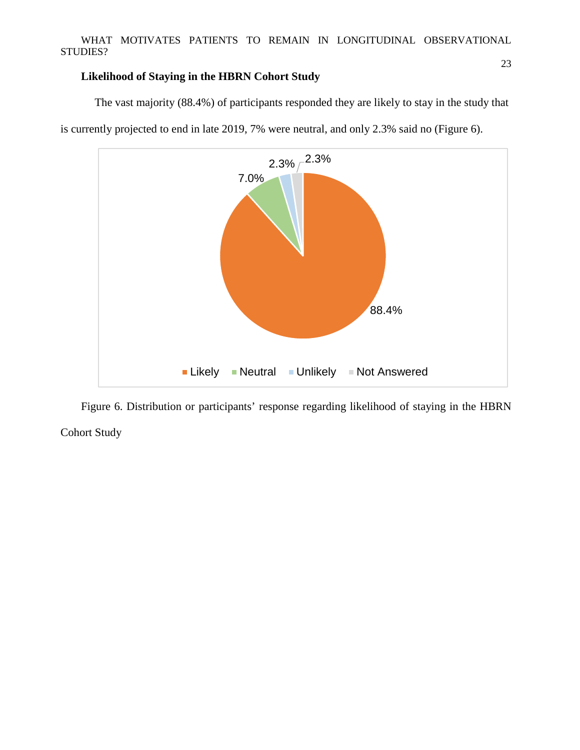### **Likelihood of Staying in the HBRN Cohort Study**

88.4% 7.0%  $2.3\%$   $^{-2.3\%}$ Likely Neutral Unlikely Not Answered

The vast majority (88.4%) of participants responded they are likely to stay in the study that is currently projected to end in late 2019, 7% were neutral, and only 2.3% said no (Figure 6).

Figure 6. Distribution or participants' response regarding likelihood of staying in the HBRN Cohort Study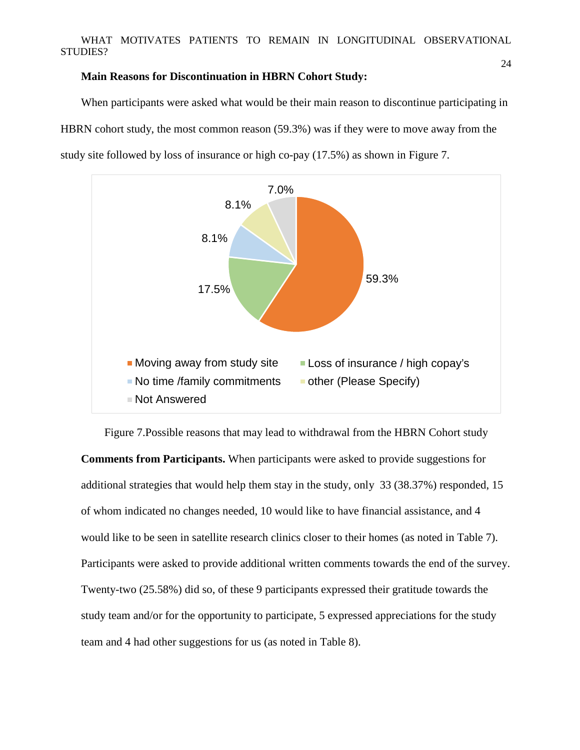#### **Main Reasons for Discontinuation in HBRN Cohort Study:**

When participants were asked what would be their main reason to discontinue participating in HBRN cohort study, the most common reason (59.3%) was if they were to move away from the study site followed by loss of insurance or high co-pay (17.5%) as shown in Figure 7.



Figure 7.Possible reasons that may lead to withdrawal from the HBRN Cohort study **Comments from Participants.** When participants were asked to provide suggestions for additional strategies that would help them stay in the study, only 33 (38.37%) responded, 15 of whom indicated no changes needed, 10 would like to have financial assistance, and 4 would like to be seen in satellite research clinics closer to their homes (as noted in Table 7). Participants were asked to provide additional written comments towards the end of the survey. Twenty-two (25.58%) did so, of these 9 participants expressed their gratitude towards the study team and/or for the opportunity to participate, 5 expressed appreciations for the study team and 4 had other suggestions for us (as noted in Table 8).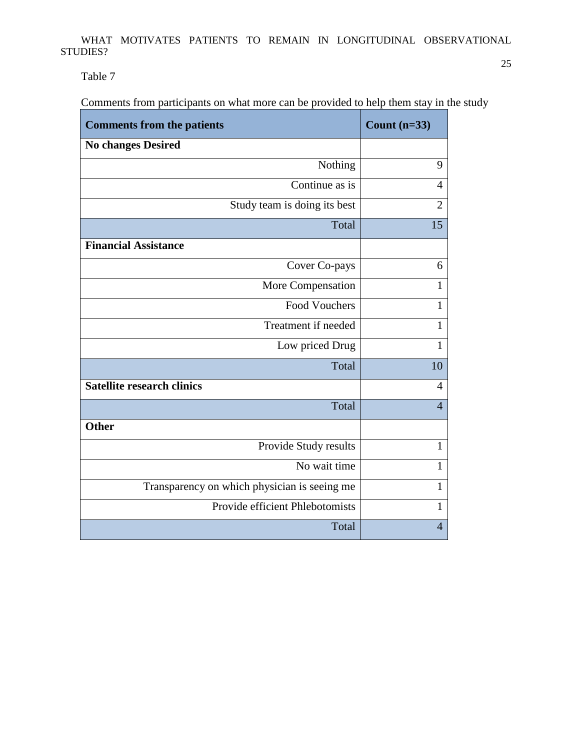Table 7

Comments from participants on what more can be provided to help them stay in the study

| <b>Comments from the patients</b>            | Count $(n=33)$ |
|----------------------------------------------|----------------|
| <b>No changes Desired</b>                    |                |
| Nothing                                      | 9              |
| Continue as is                               | $\overline{4}$ |
| Study team is doing its best                 | $\overline{2}$ |
| Total                                        | 15             |
| <b>Financial Assistance</b>                  |                |
| Cover Co-pays                                | 6              |
| More Compensation                            | 1              |
| <b>Food Vouchers</b>                         | $\mathbf{1}$   |
| Treatment if needed                          | $\mathbf{1}$   |
| Low priced Drug                              | 1              |
| Total                                        | 10             |
| <b>Satellite research clinics</b>            | $\overline{4}$ |
| Total                                        | $\overline{4}$ |
| <b>Other</b>                                 |                |
| Provide Study results                        | $\mathbf{1}$   |
| No wait time                                 | $\mathbf{1}$   |
| Transparency on which physician is seeing me | $\mathbf{1}$   |
| Provide efficient Phlebotomists              | 1              |
| Total                                        | $\overline{4}$ |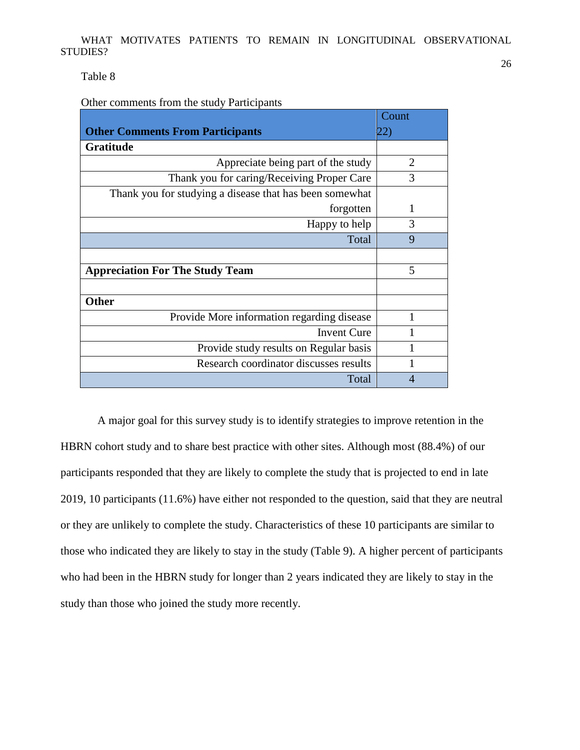Table 8

Other comments from the study Participants

|                                                         | Count          |
|---------------------------------------------------------|----------------|
| <b>Other Comments From Participants</b>                 | 22)            |
| <b>Gratitude</b>                                        |                |
| Appreciate being part of the study                      | $\overline{2}$ |
| Thank you for caring/Receiving Proper Care              | 3              |
| Thank you for studying a disease that has been somewhat |                |
| forgotten                                               | 1              |
| Happy to help                                           | 3              |
| Total                                                   | 9              |
|                                                         |                |
| <b>Appreciation For The Study Team</b>                  | 5              |
|                                                         |                |
| <b>Other</b>                                            |                |
| Provide More information regarding disease              |                |
| <b>Invent Cure</b>                                      |                |
| Provide study results on Regular basis                  |                |
| Research coordinator discusses results                  |                |
| Total                                                   | 4              |

A major goal for this survey study is to identify strategies to improve retention in the HBRN cohort study and to share best practice with other sites. Although most (88.4%) of our participants responded that they are likely to complete the study that is projected to end in late 2019, 10 participants (11.6%) have either not responded to the question, said that they are neutral or they are unlikely to complete the study. Characteristics of these 10 participants are similar to those who indicated they are likely to stay in the study (Table 9). A higher percent of participants who had been in the HBRN study for longer than 2 years indicated they are likely to stay in the study than those who joined the study more recently.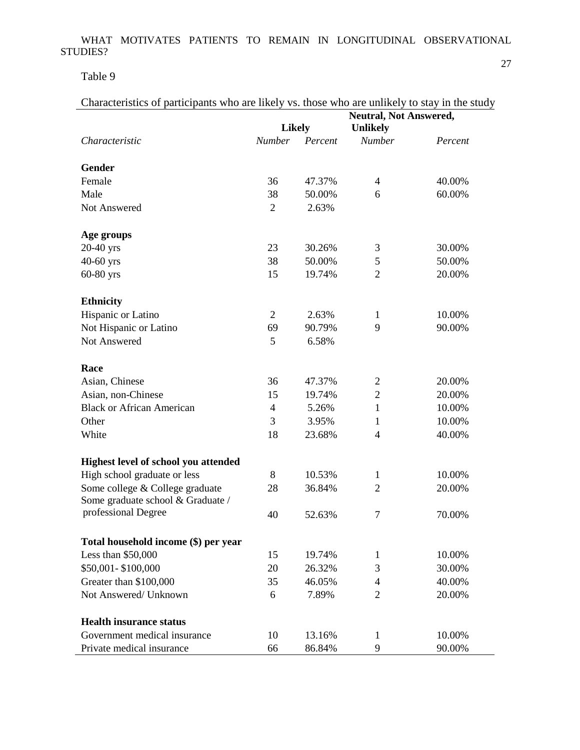Table 9

| Characteristics of participants who are likely vs. those who are unlikely to stay in the study |  |  |  |
|------------------------------------------------------------------------------------------------|--|--|--|
|                                                                                                |  |  |  |

|                                      | <b>Likely</b>  |         | <b>Unlikely</b> |         |
|--------------------------------------|----------------|---------|-----------------|---------|
| Characteristic                       | Number         | Percent | <b>Number</b>   | Percent |
| <b>Gender</b>                        |                |         |                 |         |
| Female                               | 36             | 47.37%  | 4               | 40.00%  |
| Male                                 | 38             | 50.00%  | 6               | 60.00%  |
| Not Answered                         | $\overline{2}$ | 2.63%   |                 |         |
|                                      |                |         |                 |         |
| Age groups                           |                |         |                 |         |
| $20-40$ yrs                          | 23             | 30.26%  | 3               | 30.00%  |
| 40-60 yrs                            | 38             | 50.00%  | 5               | 50.00%  |
| 60-80 yrs                            | 15             | 19.74%  | $\overline{2}$  | 20.00%  |
|                                      |                |         |                 |         |
| <b>Ethnicity</b>                     |                |         |                 |         |
| Hispanic or Latino                   | $\overline{2}$ | 2.63%   | 1               | 10.00%  |
| Not Hispanic or Latino               | 69             | 90.79%  | 9               | 90.00%  |
| Not Answered                         | 5              | 6.58%   |                 |         |
| Race                                 |                |         |                 |         |
| Asian, Chinese                       | 36             | 47.37%  | $\overline{2}$  | 20.00%  |
| Asian, non-Chinese                   | 15             | 19.74%  | $\overline{2}$  | 20.00%  |
| <b>Black or African American</b>     | 4              | 5.26%   | $\mathbf{1}$    | 10.00%  |
| Other                                | 3              | 3.95%   | 1               | 10.00%  |
| White                                | 18             | 23.68%  | 4               | 40.00%  |
|                                      |                |         |                 |         |
| Highest level of school you attended |                |         |                 |         |
| High school graduate or less         | 8              | 10.53%  | 1               | 10.00%  |
| Some college & College graduate      | 28             | 36.84%  | 2               | 20.00%  |
| Some graduate school & Graduate /    |                |         |                 |         |
| professional Degree                  | 40             | 52.63%  | $\overline{7}$  | 70.00%  |
| Total household income (\$) per year |                |         |                 |         |
| Less than \$50,000                   | 15             | 19.74%  | 1               | 10.00%  |
| \$50,001-\$100,000                   | 20             | 26.32%  | 3               | 30.00%  |
| Greater than \$100,000               | 35             | 46.05%  | 4               | 40.00%  |
| Not Answered/ Unknown                | 6              | 7.89%   | $\overline{2}$  | 20.00%  |
|                                      |                |         |                 |         |
| <b>Health insurance status</b>       |                |         |                 |         |
| Government medical insurance         | 10             | 13.16%  | 1               | 10.00%  |
| Private medical insurance            | 66             | 86.84%  | 9               | 90.00%  |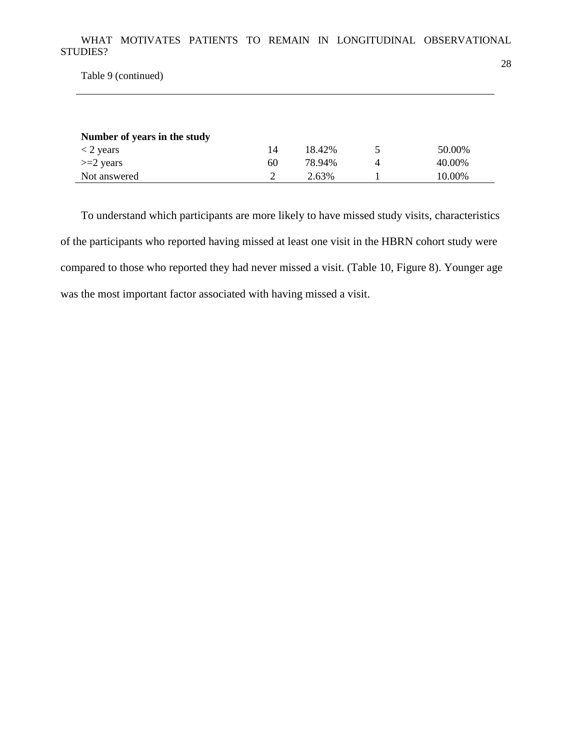Table 9 (continued)

| Number of years in the study |    |        |          |        |
|------------------------------|----|--------|----------|--------|
| $<$ 2 years                  | 14 | 18.42% |          | 50.00% |
| $>=$ 2 years                 | 60 | 78.94% | $\Delta$ | 40.00% |
| Not answered                 |    | 2.63%  |          | 10.00% |

To understand which participants are more likely to have missed study visits, characteristics of the participants who reported having missed at least one visit in the HBRN cohort study were compared to those who reported they had never missed a visit. (Table 10, Figure 8). Younger age was the most important factor associated with having missed a visit.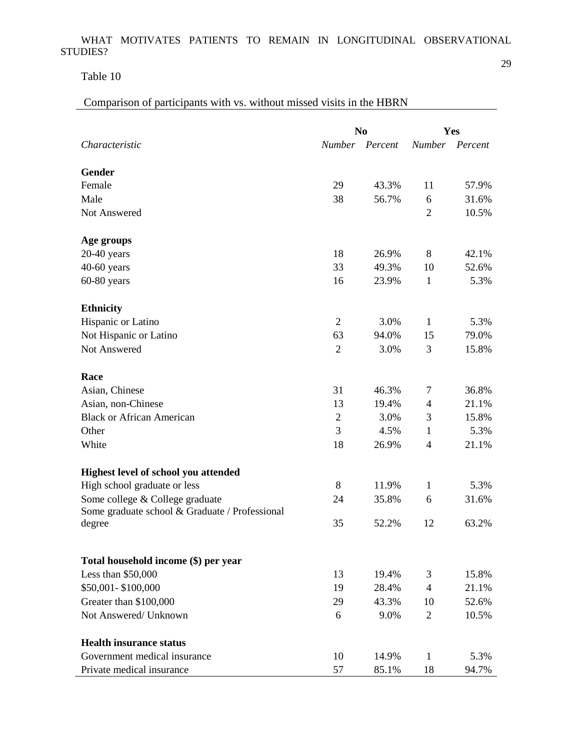Table 10

Comparison of participants with vs. without missed visits in the HBRN

|                                                | N <sub>0</sub> |                | Yes            |                |
|------------------------------------------------|----------------|----------------|----------------|----------------|
| Characteristic                                 |                | Number Percent |                | Number Percent |
|                                                |                |                |                |                |
| <b>Gender</b>                                  |                |                |                |                |
| Female                                         | 29             | 43.3%          | 11             | 57.9%          |
| Male                                           | 38             | 56.7%          | 6              | 31.6%          |
| Not Answered                                   |                |                | $\overline{2}$ | 10.5%          |
| Age groups                                     |                |                |                |                |
| $20-40$ years                                  | 18             | 26.9%          | 8              | 42.1%          |
| $40-60$ years                                  | 33             | 49.3%          | 10             | 52.6%          |
| $60-80$ years                                  | 16             | 23.9%          | $\mathbf{1}$   | 5.3%           |
| <b>Ethnicity</b>                               |                |                |                |                |
| Hispanic or Latino                             | $\overline{2}$ | 3.0%           | $\mathbf{1}$   | 5.3%           |
| Not Hispanic or Latino                         | 63             | 94.0%          | 15             | 79.0%          |
| Not Answered                                   | $\overline{2}$ | 3.0%           | 3              | 15.8%          |
| Race                                           |                |                |                |                |
| Asian, Chinese                                 | 31             | 46.3%          | 7              | 36.8%          |
| Asian, non-Chinese                             | 13             | 19.4%          | $\overline{4}$ | 21.1%          |
| <b>Black or African American</b>               | $\overline{2}$ | 3.0%           | 3              | 15.8%          |
| Other                                          | 3              | 4.5%           | $\mathbf{1}$   | 5.3%           |
| White                                          | 18             | 26.9%          | 4              | 21.1%          |
| Highest level of school you attended           |                |                |                |                |
| High school graduate or less                   | 8              | 11.9%          | $\mathbf{1}$   | 5.3%           |
| Some college & College graduate                | 24             | 35.8%          | 6              | 31.6%          |
| Some graduate school & Graduate / Professional |                |                |                |                |
| degree                                         | 35             | 52.2%          | 12             | 63.2%          |
|                                                |                |                |                |                |
| Total household income (\$) per year           |                |                |                |                |
| Less than $$50,000$                            | 13             | 19.4%          | 3              | 15.8%          |
| \$50,001-\$100,000                             | 19             | 28.4%          | $\overline{4}$ | 21.1%          |
| Greater than \$100,000                         | 29             | 43.3%          | 10             | 52.6%          |
| Not Answered/ Unknown                          | 6              | 9.0%           | $\overline{2}$ | 10.5%          |
| <b>Health insurance status</b>                 |                |                |                |                |
| Government medical insurance                   | 10             | 14.9%          | 1              | 5.3%           |
| Private medical insurance                      | 57             | 85.1%          | 18             | 94.7%          |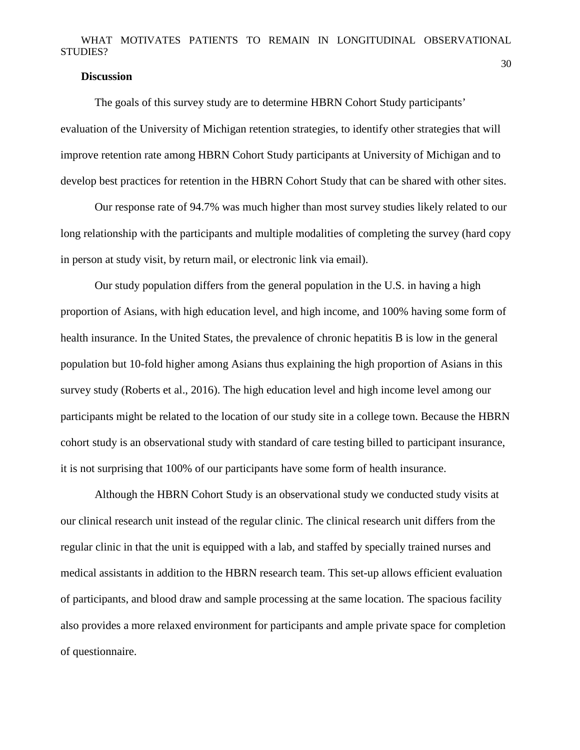### **Discussion**

The goals of this survey study are to determine HBRN Cohort Study participants' evaluation of the University of Michigan retention strategies, to identify other strategies that will improve retention rate among HBRN Cohort Study participants at University of Michigan and to develop best practices for retention in the HBRN Cohort Study that can be shared with other sites.

Our response rate of 94.7% was much higher than most survey studies likely related to our long relationship with the participants and multiple modalities of completing the survey (hard copy in person at study visit, by return mail, or electronic link via email).

Our study population differs from the general population in the U.S. in having a high proportion of Asians, with high education level, and high income, and 100% having some form of health insurance. In the United States, the prevalence of chronic hepatitis B is low in the general population but 10-fold higher among Asians thus explaining the high proportion of Asians in this survey study (Roberts et al., 2016). The high education level and high income level among our participants might be related to the location of our study site in a college town. Because the HBRN cohort study is an observational study with standard of care testing billed to participant insurance, it is not surprising that 100% of our participants have some form of health insurance.

Although the HBRN Cohort Study is an observational study we conducted study visits at our clinical research unit instead of the regular clinic. The clinical research unit differs from the regular clinic in that the unit is equipped with a lab, and staffed by specially trained nurses and medical assistants in addition to the HBRN research team. This set-up allows efficient evaluation of participants, and blood draw and sample processing at the same location. The spacious facility also provides a more relaxed environment for participants and ample private space for completion of questionnaire.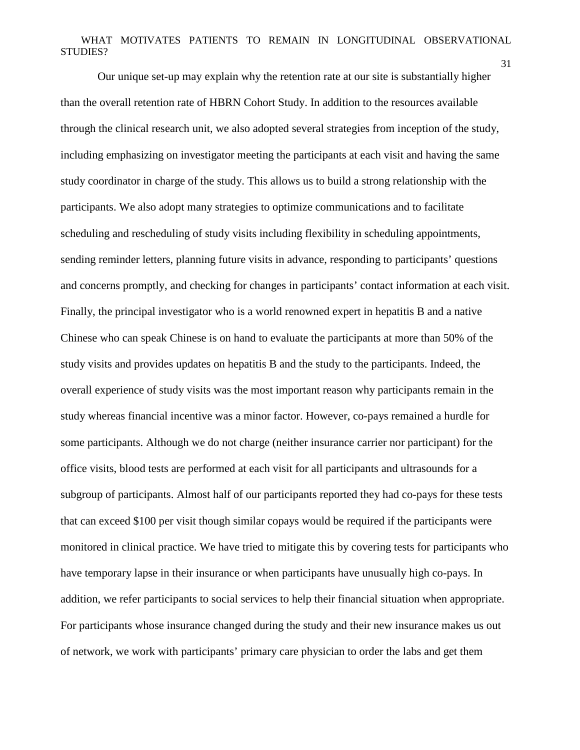Our unique set-up may explain why the retention rate at our site is substantially higher than the overall retention rate of HBRN Cohort Study. In addition to the resources available through the clinical research unit, we also adopted several strategies from inception of the study, including emphasizing on investigator meeting the participants at each visit and having the same study coordinator in charge of the study. This allows us to build a strong relationship with the participants. We also adopt many strategies to optimize communications and to facilitate scheduling and rescheduling of study visits including flexibility in scheduling appointments, sending reminder letters, planning future visits in advance, responding to participants' questions and concerns promptly, and checking for changes in participants' contact information at each visit. Finally, the principal investigator who is a world renowned expert in hepatitis B and a native Chinese who can speak Chinese is on hand to evaluate the participants at more than 50% of the study visits and provides updates on hepatitis B and the study to the participants. Indeed, the overall experience of study visits was the most important reason why participants remain in the study whereas financial incentive was a minor factor. However, co-pays remained a hurdle for some participants. Although we do not charge (neither insurance carrier nor participant) for the office visits, blood tests are performed at each visit for all participants and ultrasounds for a subgroup of participants. Almost half of our participants reported they had co-pays for these tests that can exceed \$100 per visit though similar copays would be required if the participants were monitored in clinical practice. We have tried to mitigate this by covering tests for participants who have temporary lapse in their insurance or when participants have unusually high co-pays. In addition, we refer participants to social services to help their financial situation when appropriate. For participants whose insurance changed during the study and their new insurance makes us out of network, we work with participants' primary care physician to order the labs and get them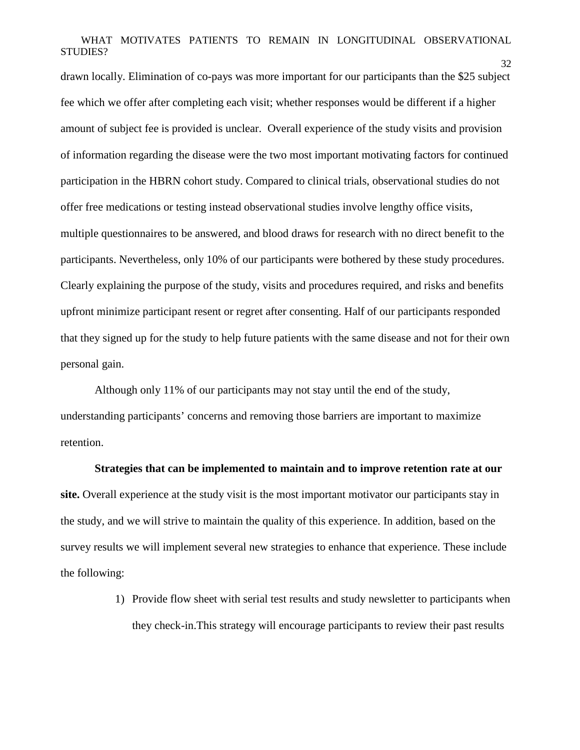32

drawn locally. Elimination of co-pays was more important for our participants than the \$25 subject fee which we offer after completing each visit; whether responses would be different if a higher amount of subject fee is provided is unclear. Overall experience of the study visits and provision of information regarding the disease were the two most important motivating factors for continued participation in the HBRN cohort study. Compared to clinical trials, observational studies do not offer free medications or testing instead observational studies involve lengthy office visits, multiple questionnaires to be answered, and blood draws for research with no direct benefit to the participants. Nevertheless, only 10% of our participants were bothered by these study procedures. Clearly explaining the purpose of the study, visits and procedures required, and risks and benefits upfront minimize participant resent or regret after consenting. Half of our participants responded that they signed up for the study to help future patients with the same disease and not for their own personal gain.

Although only 11% of our participants may not stay until the end of the study, understanding participants' concerns and removing those barriers are important to maximize retention.

#### **Strategies that can be implemented to maintain and to improve retention rate at our**

**site.** Overall experience at the study visit is the most important motivator our participants stay in the study, and we will strive to maintain the quality of this experience. In addition, based on the survey results we will implement several new strategies to enhance that experience. These include the following:

> 1) Provide flow sheet with serial test results and study newsletter to participants when they check-in.This strategy will encourage participants to review their past results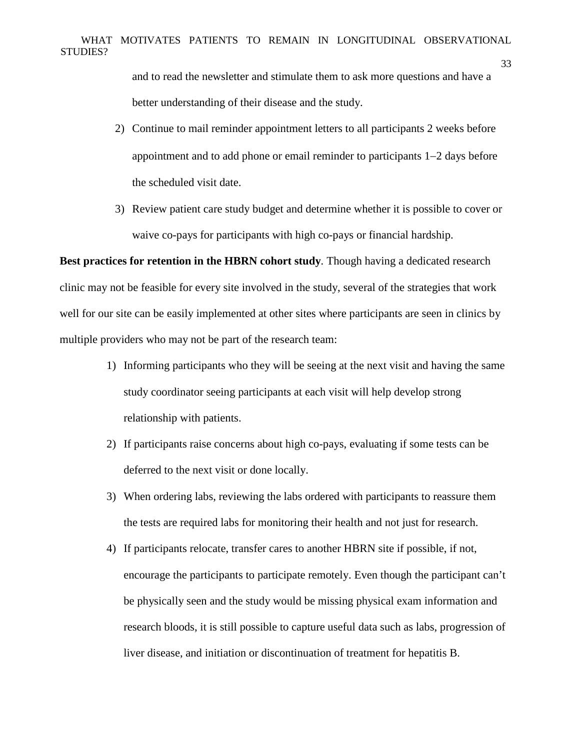and to read the newsletter and stimulate them to ask more questions and have a better understanding of their disease and the study.

33

- 2) Continue to mail reminder appointment letters to all participants 2 weeks before appointment and to add phone or email reminder to participants 1−2 days before the scheduled visit date.
- 3) Review patient care study budget and determine whether it is possible to cover or waive co-pays for participants with high co-pays or financial hardship.

**Best practices for retention in the HBRN cohort study***.* Though having a dedicated research clinic may not be feasible for every site involved in the study, several of the strategies that work well for our site can be easily implemented at other sites where participants are seen in clinics by multiple providers who may not be part of the research team:

- 1) Informing participants who they will be seeing at the next visit and having the same study coordinator seeing participants at each visit will help develop strong relationship with patients.
- 2) If participants raise concerns about high co-pays, evaluating if some tests can be deferred to the next visit or done locally.
- 3) When ordering labs, reviewing the labs ordered with participants to reassure them the tests are required labs for monitoring their health and not just for research.
- 4) If participants relocate, transfer cares to another HBRN site if possible, if not, encourage the participants to participate remotely. Even though the participant can't be physically seen and the study would be missing physical exam information and research bloods, it is still possible to capture useful data such as labs, progression of liver disease, and initiation or discontinuation of treatment for hepatitis B.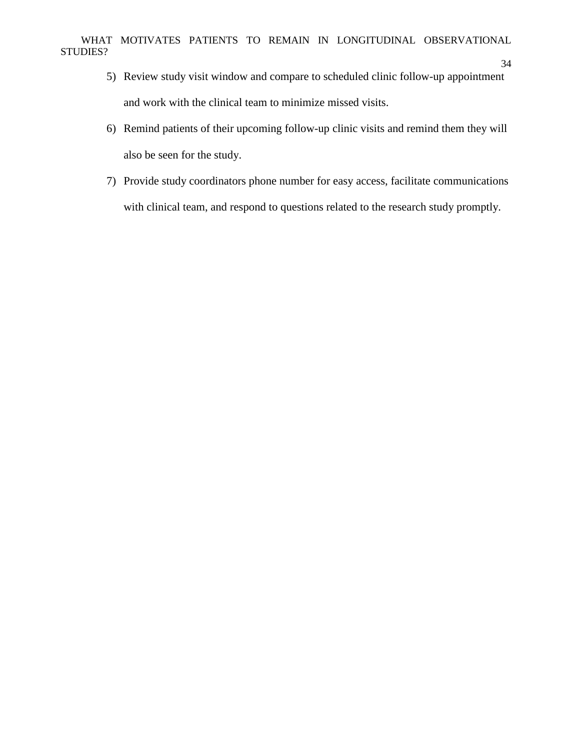- 5) Review study visit window and compare to scheduled clinic follow-up appointment and work with the clinical team to minimize missed visits.
- 6) Remind patients of their upcoming follow-up clinic visits and remind them they will also be seen for the study.
- 7) Provide study coordinators phone number for easy access, facilitate communications with clinical team, and respond to questions related to the research study promptly.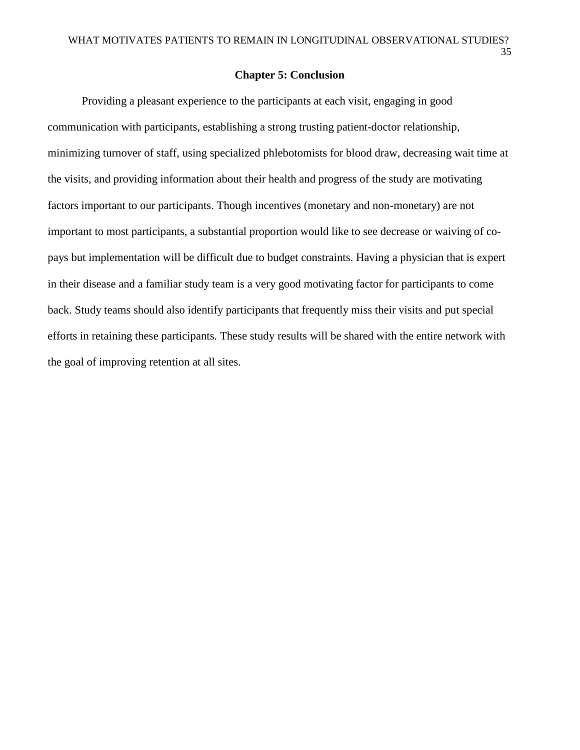### **Chapter 5: Conclusion**

Providing a pleasant experience to the participants at each visit, engaging in good communication with participants, establishing a strong trusting patient-doctor relationship, minimizing turnover of staff, using specialized phlebotomists for blood draw, decreasing wait time at the visits, and providing information about their health and progress of the study are motivating factors important to our participants. Though incentives (monetary and non-monetary) are not important to most participants, a substantial proportion would like to see decrease or waiving of copays but implementation will be difficult due to budget constraints. Having a physician that is expert in their disease and a familiar study team is a very good motivating factor for participants to come back. Study teams should also identify participants that frequently miss their visits and put special efforts in retaining these participants. These study results will be shared with the entire network with the goal of improving retention at all sites.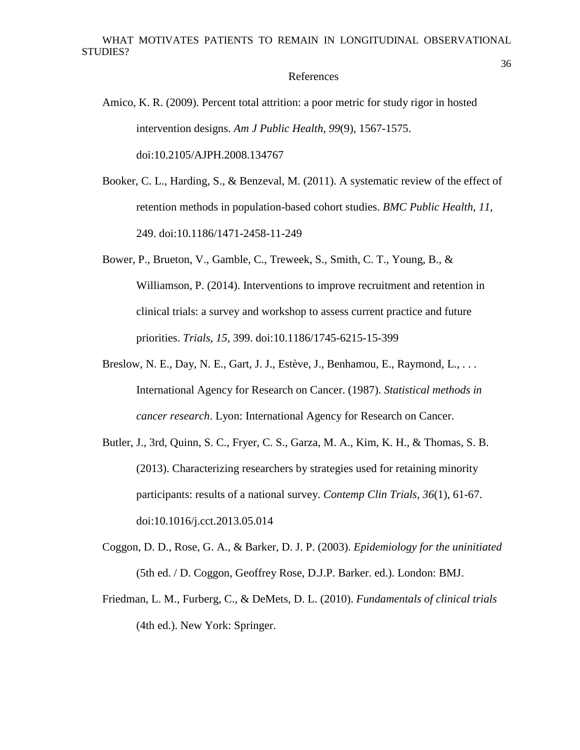#### References

- Amico, K. R. (2009). Percent total attrition: a poor metric for study rigor in hosted intervention designs. *Am J Public Health, 99*(9), 1567-1575. doi:10.2105/AJPH.2008.134767
- Booker, C. L., Harding, S., & Benzeval, M. (2011). A systematic review of the effect of retention methods in population-based cohort studies. *BMC Public Health, 11*, 249. doi:10.1186/1471-2458-11-249
- Bower, P., Brueton, V., Gamble, C., Treweek, S., Smith, C. T., Young, B., & Williamson, P. (2014). Interventions to improve recruitment and retention in clinical trials: a survey and workshop to assess current practice and future priorities. *Trials, 15*, 399. doi:10.1186/1745-6215-15-399
- Breslow, N. E., Day, N. E., Gart, J. J., Estève, J., Benhamou, E., Raymond, L., . . . International Agency for Research on Cancer. (1987). *Statistical methods in cancer research*. Lyon: International Agency for Research on Cancer.
- Butler, J., 3rd, Quinn, S. C., Fryer, C. S., Garza, M. A., Kim, K. H., & Thomas, S. B. (2013). Characterizing researchers by strategies used for retaining minority participants: results of a national survey. *Contemp Clin Trials, 36*(1), 61-67. doi:10.1016/j.cct.2013.05.014
- Coggon, D. D., Rose, G. A., & Barker, D. J. P. (2003). *Epidemiology for the uninitiated* (5th ed. / D. Coggon, Geoffrey Rose, D.J.P. Barker. ed.). London: BMJ.
- Friedman, L. M., Furberg, C., & DeMets, D. L. (2010). *Fundamentals of clinical trials* (4th ed.). New York: Springer.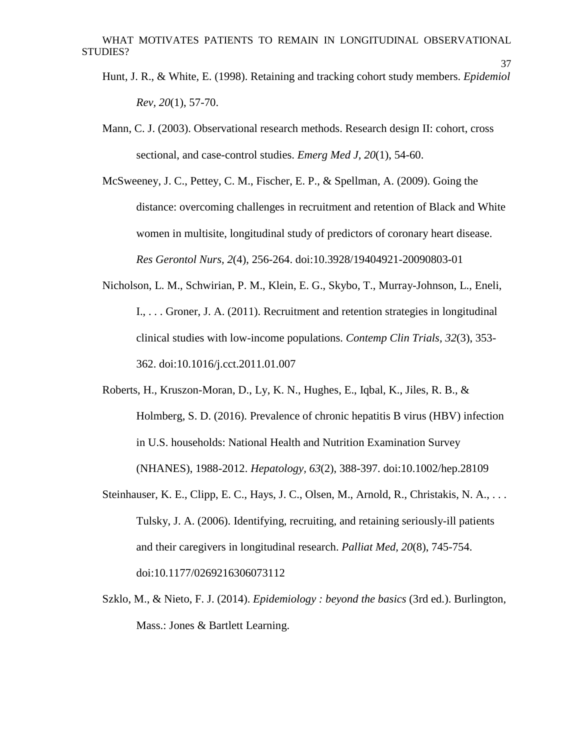Hunt, J. R., & White, E. (1998). Retaining and tracking cohort study members. *Epidemiol Rev, 20*(1), 57-70.

- Mann, C. J. (2003). Observational research methods. Research design II: cohort, cross sectional, and case-control studies. *Emerg Med J, 20*(1), 54-60.
- McSweeney, J. C., Pettey, C. M., Fischer, E. P., & Spellman, A. (2009). Going the distance: overcoming challenges in recruitment and retention of Black and White women in multisite, longitudinal study of predictors of coronary heart disease. *Res Gerontol Nurs, 2*(4), 256-264. doi:10.3928/19404921-20090803-01
- Nicholson, L. M., Schwirian, P. M., Klein, E. G., Skybo, T., Murray-Johnson, L., Eneli, I., . . . Groner, J. A. (2011). Recruitment and retention strategies in longitudinal clinical studies with low-income populations. *Contemp Clin Trials, 32*(3), 353- 362. doi:10.1016/j.cct.2011.01.007
- Roberts, H., Kruszon-Moran, D., Ly, K. N., Hughes, E., Iqbal, K., Jiles, R. B., & Holmberg, S. D. (2016). Prevalence of chronic hepatitis B virus (HBV) infection in U.S. households: National Health and Nutrition Examination Survey (NHANES), 1988-2012. *Hepatology, 63*(2), 388-397. doi:10.1002/hep.28109
- Steinhauser, K. E., Clipp, E. C., Hays, J. C., Olsen, M., Arnold, R., Christakis, N. A., ... Tulsky, J. A. (2006). Identifying, recruiting, and retaining seriously-ill patients and their caregivers in longitudinal research. *Palliat Med, 20*(8), 745-754. doi:10.1177/0269216306073112
- Szklo, M., & Nieto, F. J. (2014). *Epidemiology : beyond the basics* (3rd ed.). Burlington, Mass.: Jones & Bartlett Learning.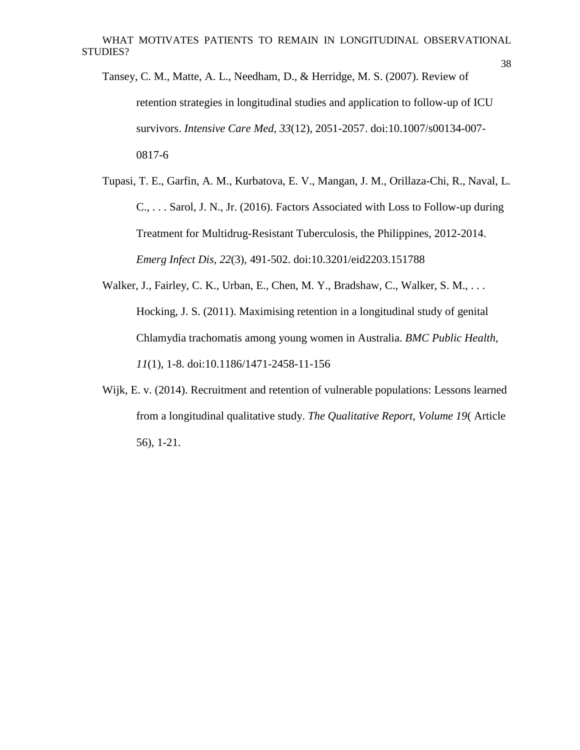38

Tansey, C. M., Matte, A. L., Needham, D., & Herridge, M. S. (2007). Review of retention strategies in longitudinal studies and application to follow-up of ICU survivors. *Intensive Care Med, 33*(12), 2051-2057. doi:10.1007/s00134-007- 0817-6

Tupasi, T. E., Garfin, A. M., Kurbatova, E. V., Mangan, J. M., Orillaza-Chi, R., Naval, L. C., . . . Sarol, J. N., Jr. (2016). Factors Associated with Loss to Follow-up during Treatment for Multidrug-Resistant Tuberculosis, the Philippines, 2012-2014. *Emerg Infect Dis, 22*(3), 491-502. doi:10.3201/eid2203.151788

Walker, J., Fairley, C. K., Urban, E., Chen, M. Y., Bradshaw, C., Walker, S. M., . . . Hocking, J. S. (2011). Maximising retention in a longitudinal study of genital Chlamydia trachomatis among young women in Australia. *BMC Public Health, 11*(1), 1-8. doi:10.1186/1471-2458-11-156

Wijk, E. v. (2014). Recruitment and retention of vulnerable populations: Lessons learned from a longitudinal qualitative study. *The Qualitative Report, Volume 19*( Article 56), 1-21.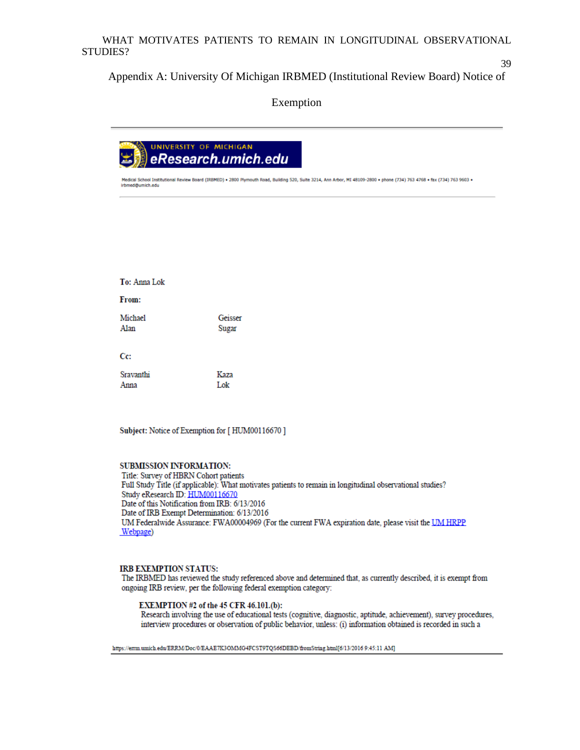Appendix A: University Of Michigan IRBMED (Institutional Review Board) Notice of

Exemption



+ Medical School Institutional Review Board (IRBMED) + 2800 Plymouth Road, Building 520, Suite 3214, Ann Arbor, M1 48109-2800 + phone (734) 763 4768 + fax (734) 763 9603 irbmed@umich.edu

| To: Anna Lok      |                  |
|-------------------|------------------|
| From:             |                  |
| Michael<br>Alan   | Geisser<br>Sugar |
| Cc:               |                  |
| Sravanthi<br>Anna | Kaza<br>Lok      |

Subject: Notice of Exemption for [HUM00116670]

#### SUBMISSION INFORMATION:

Title: Survey of HBRN Cohort patients Full Study Title (if applicable): What motivates patients to remain in longitudinal observational studies? Study eResearch ID: HUM00116670 Date of this Notification from IRB: 6/13/2016 Date of IRB Exempt Determination: 6/13/2016 UM Federalwide Assurance: FWA00004969 (For the current FWA expiration date, please visit the UM HRPP Webpage)

#### **IRB EXEMPTION STATUS:**

The IRBMED has reviewed the study referenced above and determined that, as currently described, it is exempt from ongoing IRB review, per the following federal exemption category:

#### EXEMPTION #2 of the 45 CFR 46.101.(b):

Research involving the use of educational tests (cognitive, diagnostic, aptitude, achievement), survey procedures, interview procedures or observation of public behavior, unless: (i) information obtained is recorded in such a

https://errm.umich.edu/ERRM/Doc/0/EAAE7K3OMMG4FCST9TQS66DEBD/fromString.html[6/13/2016 9:45:11 AM]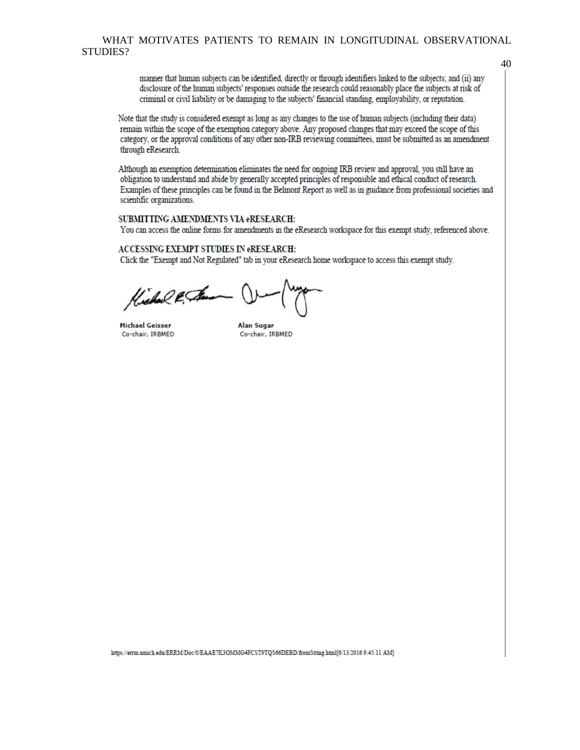manner that human subjects can be identified, directly or through identifiers linked to the subjects; and (ii) any disclosure of the human subjects' responses outside the research could reasonably place the subjects at risk of criminal or civil liability or be damaging to the subjects' financial standing, employability, or reputation.

Note that the study is considered exempt as long as any changes to the use of human subjects (including their data) remain within the scope of the exemption category above. Any proposed changes that may exceed the scope of this category, or the approval conditions of any other non-IRB reviewing committees, must be submitted as an amendment through eResearch.

Although an exemption determination eliminates the need for ongoing IRB review and approval, you still have an obligation to understand and abide by generally accepted principles of responsible and ethical conduct of research. Examples of these principles can be found in the Belmont Report as well as in guidance from professional societies and scientific organizations.

#### SUBMITTING AMENDMENTS VIA eRESEARCH:

You can access the online forms for amendments in the eResearch workspace for this exempt study, referenced above.

#### **ACCESSING EXEMPT STUDIES IN eRESEARCH:**

Click the "Exempt and Not Regulated" tab in your eResearch home workspace to access this exempt study.

Kichal & Sam

**Michael Geisser** Co-chair, IRBMED

**Alan Sugar** Co-chair, IRBMED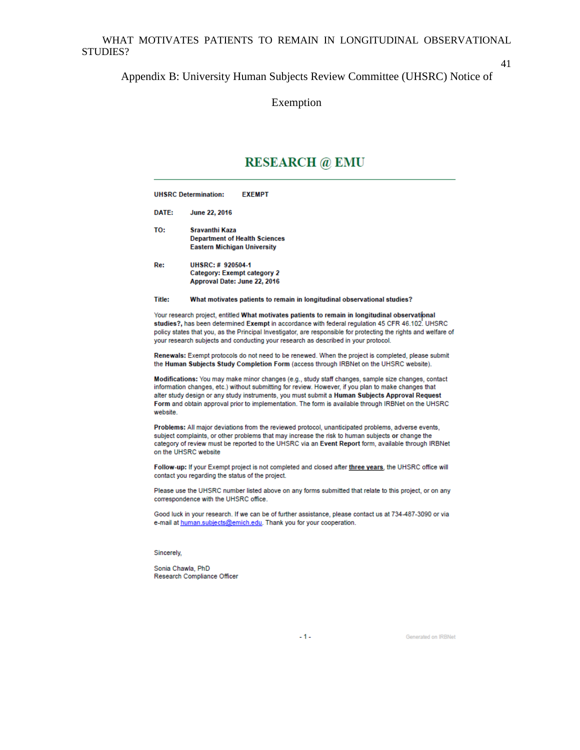41

#### Appendix B: University Human Subjects Review Committee (UHSRC) Notice of

Exemption

# **RESEARCH** @ EMU

|        | <b>UHSRC Determination:</b><br><b>EXEMPT</b>                                                  |
|--------|-----------------------------------------------------------------------------------------------|
| DATE:  | <b>June 22, 2016</b>                                                                          |
| TO:    | Sravanthi Kaza<br><b>Department of Health Sciences</b><br><b>Eastern Michigan University</b>  |
| Re:    | UHSRC: #920504-1<br>Category: Exempt category 2<br>Approval Date: June 22, 2016               |
| Title: | What motivates patients to remain in longitudinal observational studies?                      |
|        | Your research project, entitled What motivates patients to remain in longitudinal observation |

ial studies?, has been determined Exempt in accordance with federal regulation 45 CFR 46.102. UHSRC policy states that you, as the Principal Investigator, are responsible for protecting the rights and welfare of your research subjects and conducting your research as described in your protocol.

Renewals: Exempt protocols do not need to be renewed. When the project is completed, please submit the Human Subjects Study Completion Form (access through IRBNet on the UHSRC website).

Modifications: You may make minor changes (e.g., study staff changes, sample size changes, contact information changes, etc.) without submitting for review. However, if you plan to make changes that alter study design or any study instruments, you must submit a Human Subjects Approval Request Form and obtain approval prior to implementation. The form is available through IRBNet on the UHSRC website.

Problems: All major deviations from the reviewed protocol, unanticipated problems, adverse events, subject complaints, or other problems that may increase the risk to human subjects or change the category of review must be reported to the UHSRC via an Event Report form, available through IRBNet on the UHSRC website

Follow-up: If your Exempt project is not completed and closed after three years, the UHSRC office will contact you regarding the status of the project.

Please use the UHSRC number listed above on any forms submitted that relate to this project, or on any correspondence with the UHSRC office.

Good luck in your research. If we can be of further assistance, please contact us at 734-487-3090 or via e-mail at human.subjects@emich.edu. Thank you for your cooperation.

#### Sincerely,

Sonia Chawla, PhD Research Compliance Officer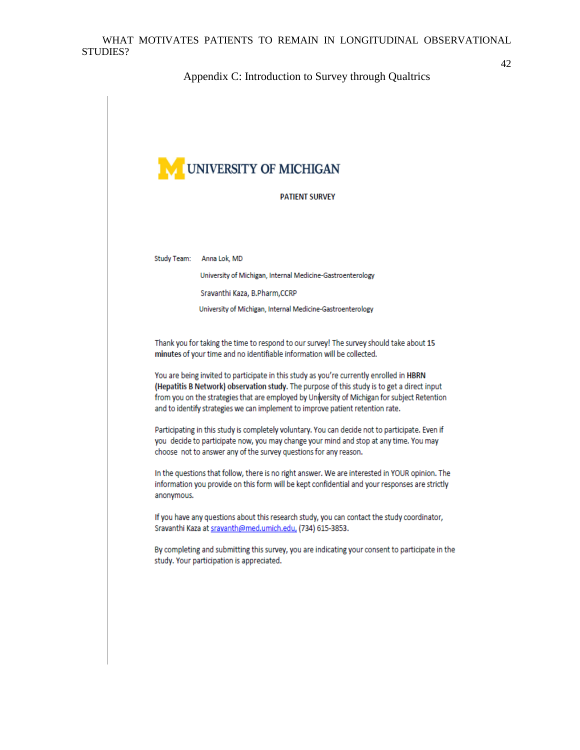#### Appendix C: Introduction to Survey through Qualtrics



#### **PATIENT SURVEY**

Study Team: Anna Lok, MD

University of Michigan, Internal Medicine-Gastroenterology

Sravanthi Kaza, B.Pharm,CCRP

University of Michigan, Internal Medicine-Gastroenterology

Thank you for taking the time to respond to our survey! The survey should take about 15 minutes of your time and no identifiable information will be collected.

You are being invited to participate in this study as you're currently enrolled in HBRN (Hepatitis B Network) observation study. The purpose of this study is to get a direct input from you on the strategies that are employed by University of Michigan for subject Retention and to identify strategies we can implement to improve patient retention rate.

Participating in this study is completely voluntary. You can decide not to participate. Even if you decide to participate now, you may change your mind and stop at any time. You may choose not to answer any of the survey questions for any reason.

In the questions that follow, there is no right answer. We are interested in YOUR opinion. The information you provide on this form will be kept confidential and your responses are strictly anonymous.

If you have any questions about this research study, you can contact the study coordinator, Sravanthi Kaza at sravanth@med.umich.edu, (734) 615-3853.

By completing and submitting this survey, you are indicating your consent to participate in the study. Your participation is appreciated.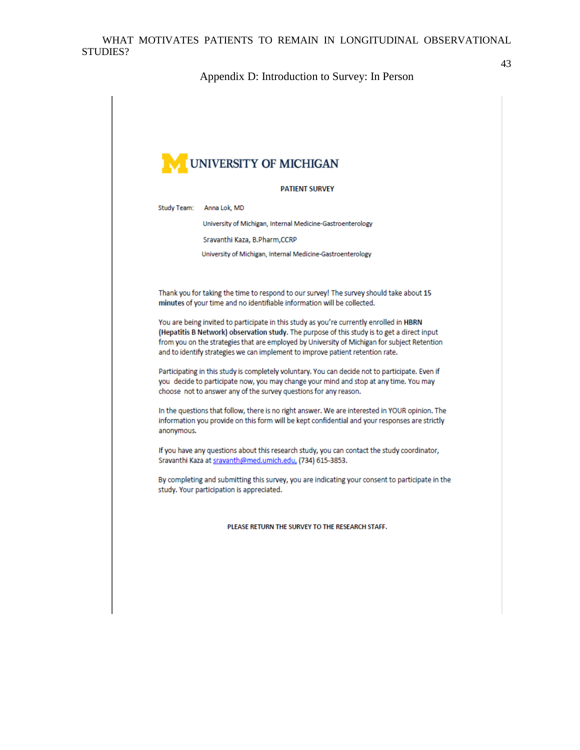Appendix D: Introduction to Survey: In Person

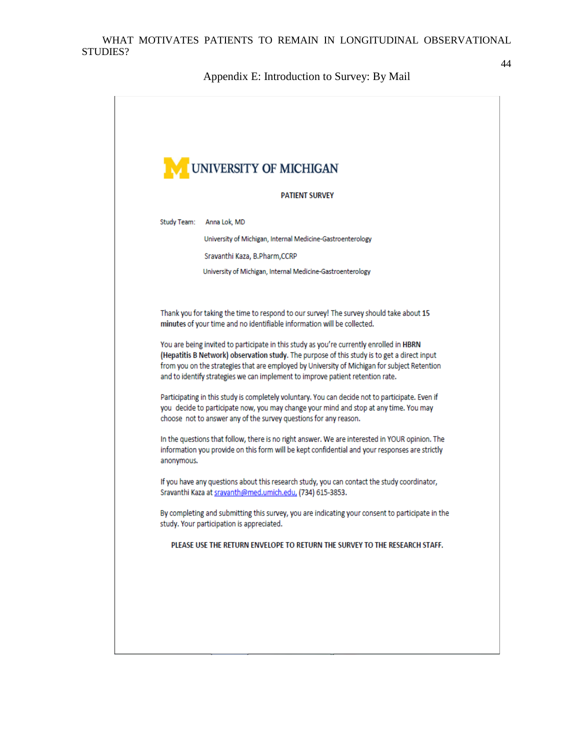Appendix E: Introduction to Survey: By Mail

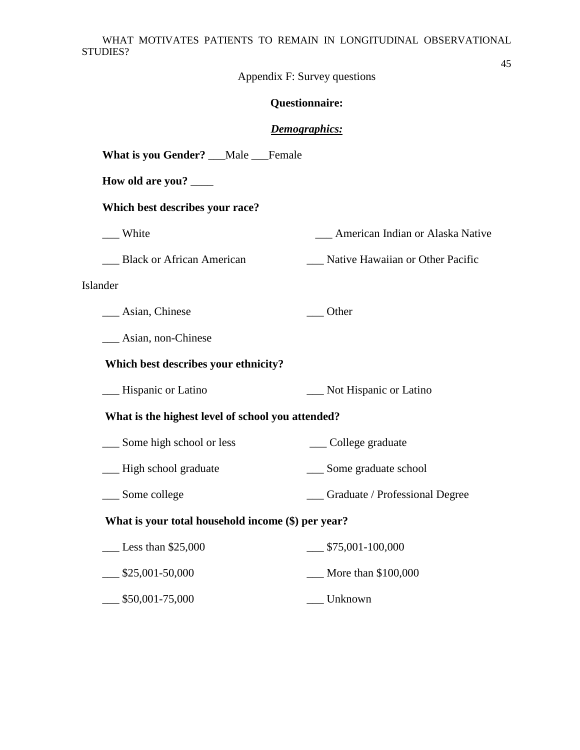Appendix F: Survey questions

# **Questionnaire:**

## *Demographics:*

| What is you Gender? __Male __Female                |                                     |
|----------------------------------------------------|-------------------------------------|
| How old are you?                                   |                                     |
| Which best describes your race?                    |                                     |
| __ White                                           | __ American Indian or Alaska Native |
| Black or African American                          | Native Hawaiian or Other Pacific    |
| Islander                                           |                                     |
| __ Asian, Chinese                                  | $\overline{\phantom{a}}$ Other      |
| __ Asian, non-Chinese                              |                                     |
| Which best describes your ethnicity?               |                                     |
| - Hispanic or Latino                               | Not Hispanic or Latino              |
| What is the highest level of school you attended?  |                                     |
| __ Some high school or less                        | ___ College graduate                |
| __ High school graduate                            | __ Some graduate school             |
| __ Some college                                    | __ Graduate / Professional Degree   |
| What is your total household income (\$) per year? |                                     |
| $\_\_\_\$ Less than \$25,000                       | $\frac{\$75,001-100,000}{}$         |
| $\frac{\$25,001-50,000}{\$}$                       | $\sim$ More than \$100,000          |
| $$50,001-75,000$                                   | <b>Unknown</b>                      |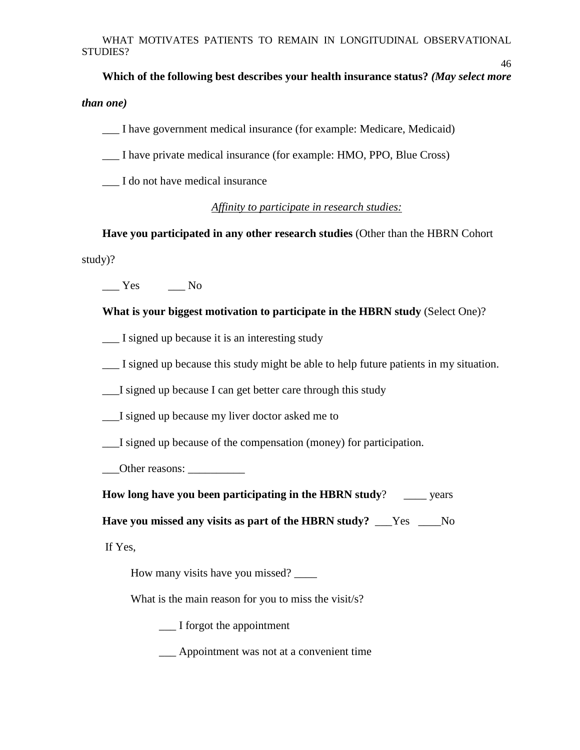**Which of the following best describes your health insurance status?** *(May select more than one)*

46

\_\_\_ I have government medical insurance (for example: Medicare, Medicaid)

\_\_\_ I have private medical insurance (for example: HMO, PPO, Blue Cross)

\_\_\_ I do not have medical insurance

### *Affinity to participate in research studies:*

**Have you participated in any other research studies** (Other than the HBRN Cohort study)?

 $\_\_$  Yes  $\_\_$  No

**What is your biggest motivation to participate in the HBRN study** (Select One)?

*\_\_*\_ I signed up because it is an interesting study

\_\_\_ I signed up because this study might be able to help future patients in my situation.

\_\_\_I signed up because I can get better care through this study

\_\_\_I signed up because my liver doctor asked me to

\_\_\_I signed up because of the compensation (money) for participation.

\_\_\_Other reasons: \_\_\_\_\_\_\_\_\_\_

**How long have you been participating in the HBRN study?** \_\_\_\_ years

**Have you missed any visits as part of the HBRN study?** \_\_\_Yes \_\_\_\_No

If Yes,

How many visits have you missed? \_\_\_\_\_\_\_

What is the main reason for you to miss the visit/s?

\_\_\_ I forgot the appointment

\_\_\_ Appointment was not at a convenient time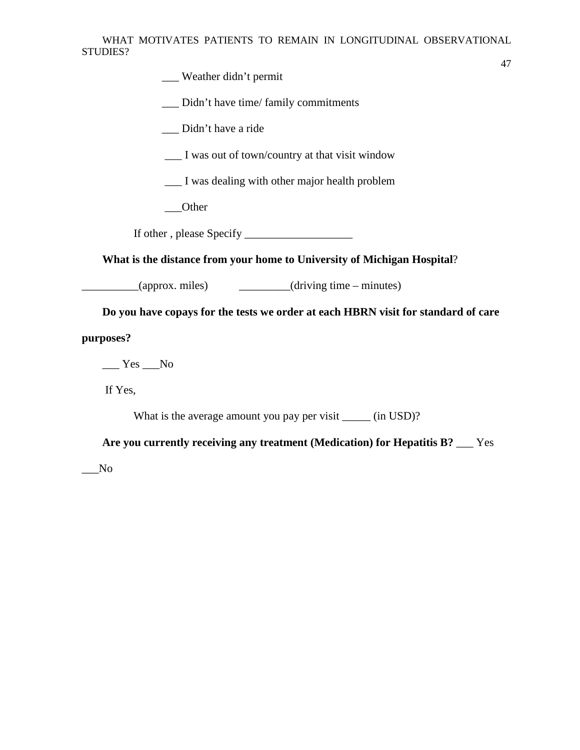\_\_\_ Weather didn't permit

\_\_\_ Didn't have time/ family commitments

\_\_\_ Didn't have a ride

\_\_\_ I was out of town/country at that visit window

\_\_\_ I was dealing with other major health problem

\_\_\_Other

If other , please Specify \_\_\_\_\_\_\_\_\_\_\_\_\_\_\_\_\_\_\_

**What is the distance from your home to University of Michigan Hospital**?

\_\_\_\_\_\_\_\_\_\_(approx. miles) \_\_\_\_\_\_\_\_\_(driving time – minutes)

**Do you have copays for the tests we order at each HBRN visit for standard of care** 

**purposes?** 

 $\_\_$  Yes  $\_\_$  No

If Yes,

What is the average amount you pay per visit \_\_\_\_\_\_ (in USD)?

**Are you currently receiving any treatment (Medication) for Hepatitis B?** \_\_\_ Yes

 $\sqrt{N}$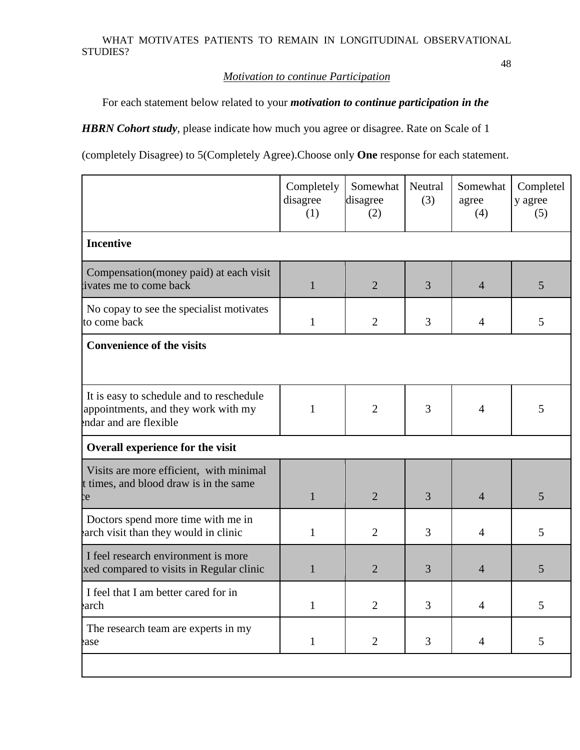### *Motivation to continue Participation*

For each statement below related to your *motivation to continue participation in the* 

*HBRN Cohort study*, please indicate how much you agree or disagree. Rate on Scale of 1

(completely Disagree) to 5(Completely Agree).Choose only **One** response for each statement.

|                                                                                                           | Completely<br>disagree<br>(1) | Somewhat<br>disagree<br>(2) | <b>Neutral</b><br>(3) | Somewhat<br>agree<br>(4) | Completel<br>y agree<br>(5) |
|-----------------------------------------------------------------------------------------------------------|-------------------------------|-----------------------------|-----------------------|--------------------------|-----------------------------|
| <b>Incentive</b>                                                                                          |                               |                             |                       |                          |                             |
| Compensation (money paid) at each visit<br>tivates me to come back                                        | $\mathbf{1}$                  | $\overline{2}$              | 3                     | $\overline{4}$           | 5                           |
| No copay to see the specialist motivates<br>to come back                                                  | $\mathbf{1}$                  | $\overline{2}$              | 3                     | $\overline{4}$           | 5                           |
| <b>Convenience of the visits</b>                                                                          |                               |                             |                       |                          |                             |
| It is easy to schedule and to reschedule<br>appointments, and they work with my<br>endar and are flexible | $\mathbf{1}$                  | $\overline{2}$              | 3                     | $\overline{4}$           | 5                           |
| Overall experience for the visit                                                                          |                               |                             |                       |                          |                             |
| Visits are more efficient, with minimal<br>t times, and blood draw is in the same<br><b>c</b>             | $\mathbf{1}$                  | $\overline{2}$              | 3                     | $\overline{4}$           | 5                           |
| Doctors spend more time with me in<br>earch visit than they would in clinic                               | $\mathbf{1}$                  | $\overline{2}$              | 3                     | $\overline{4}$           | 5                           |
| I feel research environment is more<br>xed compared to visits in Regular clinic                           | $\mathbf{1}$                  | $\overline{2}$              | 3                     | $\overline{4}$           | 5                           |
| I feel that I am better cared for in<br>earch                                                             | $\mathbf{1}$                  | $\overline{2}$              | 3                     | $\overline{4}$           | 5                           |
| The research team are experts in my<br>ease                                                               | $\mathbf{1}$                  | $\overline{2}$              | 3                     | $\overline{4}$           | 5                           |
|                                                                                                           |                               |                             |                       |                          |                             |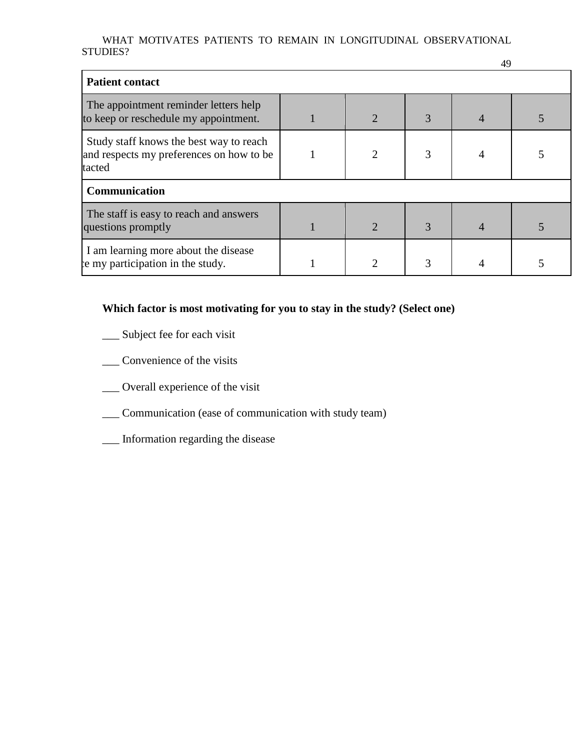| <b>Patient contact</b>                                                                        |                             |   |  |
|-----------------------------------------------------------------------------------------------|-----------------------------|---|--|
| The appointment reminder letters help<br>to keep or reschedule my appointment.                | $\mathcal{D}_{\cdot}$       | 3 |  |
| Study staff knows the best way to reach<br>and respects my preferences on how to be<br>tacted | $\mathcal{D}_{\mathcal{L}}$ | 3 |  |
| Communication                                                                                 |                             |   |  |
| The staff is easy to reach and answers<br>questions promptly                                  | $\mathcal{D}_{\cdot}$       | 3 |  |
| I am learning more about the disease<br>be my participation in the study.                     |                             |   |  |

# **Which factor is most motivating for you to stay in the study? (Select one)**

- \_\_ Subject fee for each visit
- \_\_\_ Convenience of the visits
- \_\_\_ Overall experience of the visit
- \_\_\_ Communication (ease of communication with study team)
- \_\_\_ Information regarding the disease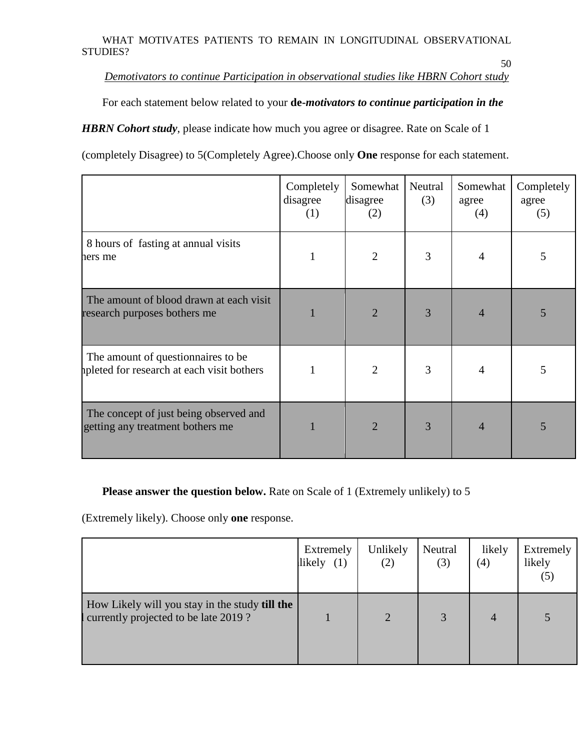50

*Demotivators to continue Participation in observational studies like HBRN Cohort study*

For each statement below related to your **de-***motivators to continue participation in the* 

*HBRN Cohort study*, please indicate how much you agree or disagree. Rate on Scale of 1

(completely Disagree) to 5(Completely Agree).Choose only **One** response for each statement.

|                                                                                  | Completely<br>disagree<br>(1) | Somewhat<br>disagree<br>(2) | Neutral<br>(3) | Somewhat<br>agree<br>(4) | Completely<br>agree<br>(5) |
|----------------------------------------------------------------------------------|-------------------------------|-----------------------------|----------------|--------------------------|----------------------------|
| 8 hours of fasting at annual visits<br>hers me                                   | 1                             | $\overline{2}$              | 3              | 4                        | 5                          |
| The amount of blood drawn at each visit<br>research purposes bothers me          |                               | $\overline{2}$              | 3              | 4                        | 5                          |
| The amount of question aires to be<br>apleted for research at each visit bothers |                               | $\overline{2}$              | 3              | 4                        | 5                          |
| The concept of just being observed and<br>getting any treatment bothers me       |                               | $\overline{2}$              | 3              | 4                        | 5                          |

# **Please answer the question below.** Rate on Scale of 1 (Extremely unlikely) to 5

(Extremely likely). Choose only **one** response.

|                                                                                        | Extremely<br>likely<br>(1) | Unlikely<br>(2) | Neutral<br>(3) | likely<br>(4) | Extremely<br>likely<br>(5) |
|----------------------------------------------------------------------------------------|----------------------------|-----------------|----------------|---------------|----------------------------|
| How Likely will you stay in the study till the<br>currently projected to be late 2019? |                            | $\overline{2}$  | 3              | 4             |                            |